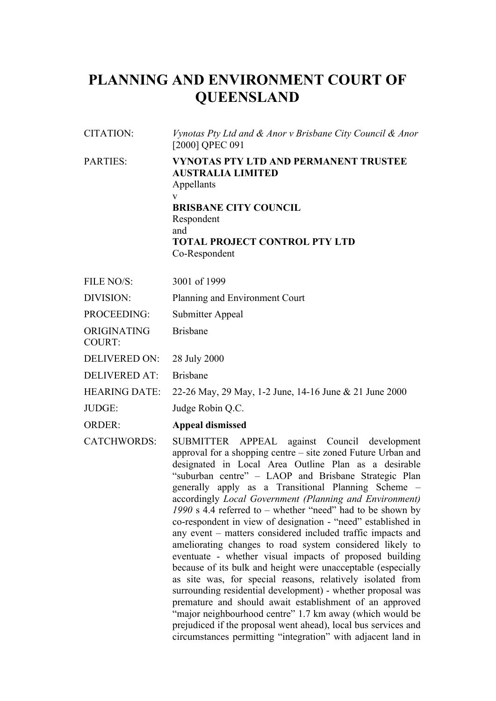# **PLANNING AND ENVIRONMENT COURT OF QUEENSLAND**

| CITATION:       | Vynotas Pty Ltd and & Anor v Brisbane City Council & Anor<br>[2000] QPEC 091                                                                                                                              |
|-----------------|-----------------------------------------------------------------------------------------------------------------------------------------------------------------------------------------------------------|
| <b>PARTIES:</b> | <b>VYNOTAS PTY LTD AND PERMANENT TRUSTEE</b><br><b>AUSTRALIA LIMITED</b><br>Appellants<br>V<br><b>BRISBANE CITY COUNCIL</b><br>Respondent<br>and<br><b>TOTAL PROJECT CONTROL PTY LTD</b><br>Co-Respondent |

| 3001 of 1999<br>FILE NO/S: |  |
|----------------------------|--|
|----------------------------|--|

DIVISION: Planning and Environment Court

PROCEEDING: Submitter Appeal

ORIGINATING COURT: Brisbane

DELIVERED ON: 28 July 2000

DELIVERED AT: Brisbane

HEARING DATE: 22-26 May, 29 May, 1-2 June, 14-16 June & 21 June 2000

JUDGE: Judge Robin Q.C.

# ORDER: **Appeal dismissed**

CATCHWORDS: SUBMITTER APPEAL against Council development approval for a shopping centre – site zoned Future Urban and designated in Local Area Outline Plan as a desirable "suburban centre" – LAOP and Brisbane Strategic Plan generally apply as a Transitional Planning Scheme – accordingly *Local Government (Planning and Environment) 1990* s 4.4 referred to – whether "need" had to be shown by co-respondent in view of designation - "need" established in any event – matters considered included traffic impacts and ameliorating changes to road system considered likely to eventuate - whether visual impacts of proposed building because of its bulk and height were unacceptable (especially as site was, for special reasons, relatively isolated from surrounding residential development) - whether proposal was premature and should await establishment of an approved "major neighbourhood centre" 1.7 km away (which would be prejudiced if the proposal went ahead), local bus services and circumstances permitting "integration" with adjacent land in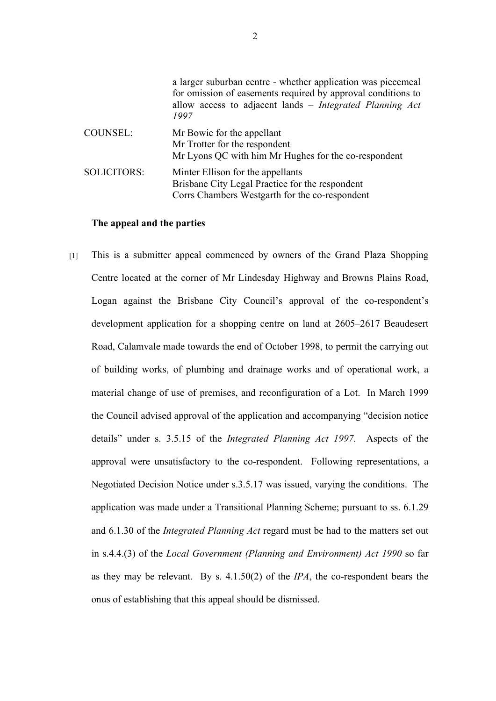|                    | a larger suburban centre - whether application was piecemeal<br>for omission of easements required by approval conditions to<br>allow access to adjacent lands – Integrated Planning Act<br>1997 |
|--------------------|--------------------------------------------------------------------------------------------------------------------------------------------------------------------------------------------------|
| COUNSEL:           | Mr Bowie for the appellant<br>Mr Trotter for the respondent<br>Mr Lyons QC with him Mr Hughes for the co-respondent                                                                              |
| <b>SOLICITORS:</b> | Minter Ellison for the appellants<br>Brisbane City Legal Practice for the respondent<br>Corrs Chambers Westgarth for the co-respondent                                                           |

# **The appeal and the parties**

[1] This is a submitter appeal commenced by owners of the Grand Plaza Shopping Centre located at the corner of Mr Lindesday Highway and Browns Plains Road, Logan against the Brisbane City Council's approval of the co-respondent's development application for a shopping centre on land at 2605–2617 Beaudesert Road, Calamvale made towards the end of October 1998, to permit the carrying out of building works, of plumbing and drainage works and of operational work, a material change of use of premises, and reconfiguration of a Lot. In March 1999 the Council advised approval of the application and accompanying "decision notice details" under s. 3.5.15 of the *Integrated Planning Act 1997*. Aspects of the approval were unsatisfactory to the co-respondent. Following representations, a Negotiated Decision Notice under s.3.5.17 was issued, varying the conditions. The application was made under a Transitional Planning Scheme; pursuant to ss. 6.1.29 and 6.1.30 of the *Integrated Planning Act* regard must be had to the matters set out in s.4.4.(3) of the *Local Government (Planning and Environment) Act 1990* so far as they may be relevant. By s. 4.1.50(2) of the *IPA*, the co-respondent bears the onus of establishing that this appeal should be dismissed.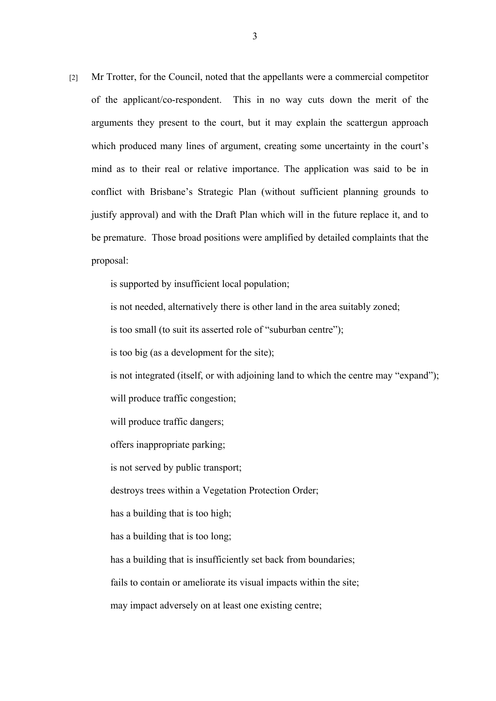[2] Mr Trotter, for the Council, noted that the appellants were a commercial competitor of the applicant/co-respondent. This in no way cuts down the merit of the arguments they present to the court, but it may explain the scattergun approach which produced many lines of argument, creating some uncertainty in the court's mind as to their real or relative importance. The application was said to be in conflict with Brisbane's Strategic Plan (without sufficient planning grounds to justify approval) and with the Draft Plan which will in the future replace it, and to be premature. Those broad positions were amplified by detailed complaints that the proposal:

is supported by insufficient local population;

is not needed, alternatively there is other land in the area suitably zoned;

is too small (to suit its asserted role of "suburban centre");

is too big (as a development for the site);

is not integrated (itself, or with adjoining land to which the centre may "expand");

will produce traffic congestion;

will produce traffic dangers;

offers inappropriate parking;

is not served by public transport;

destroys trees within a Vegetation Protection Order;

has a building that is too high;

has a building that is too long;

has a building that is insufficiently set back from boundaries;

fails to contain or ameliorate its visual impacts within the site;

may impact adversely on at least one existing centre;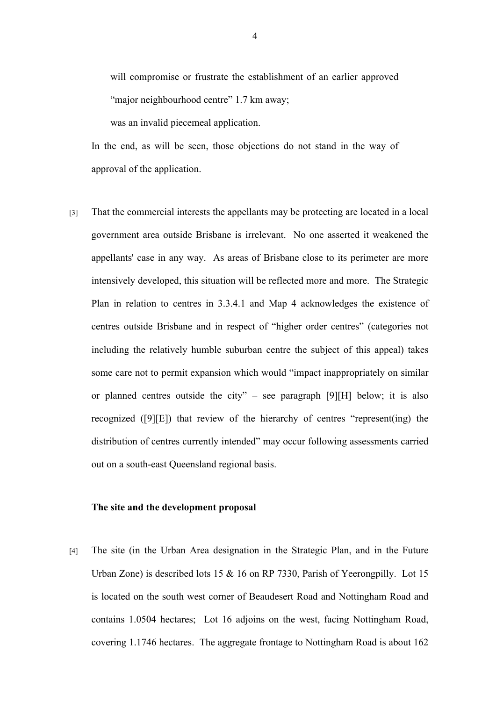will compromise or frustrate the establishment of an earlier approved "major neighbourhood centre" 1.7 km away;

was an invalid piecemeal application.

In the end, as will be seen, those objections do not stand in the way of approval of the application.

[3] That the commercial interests the appellants may be protecting are located in a local government area outside Brisbane is irrelevant. No one asserted it weakened the appellants' case in any way. As areas of Brisbane close to its perimeter are more intensively developed, this situation will be reflected more and more. The Strategic Plan in relation to centres in 3.3.4.1 and Map 4 acknowledges the existence of centres outside Brisbane and in respect of "higher order centres" (categories not including the relatively humble suburban centre the subject of this appeal) takes some care not to permit expansion which would "impact inappropriately on similar or planned centres outside the city" – see paragraph [9][H] below; it is also recognized ([9][E]) that review of the hierarchy of centres "represent(ing) the distribution of centres currently intended" may occur following assessments carried out on a south-east Queensland regional basis.

# **The site and the development proposal**

[4] The site (in the Urban Area designation in the Strategic Plan, and in the Future Urban Zone) is described lots 15 & 16 on RP 7330, Parish of Yeerongpilly. Lot 15 is located on the south west corner of Beaudesert Road and Nottingham Road and contains 1.0504 hectares; Lot 16 adjoins on the west, facing Nottingham Road, covering 1.1746 hectares. The aggregate frontage to Nottingham Road is about 162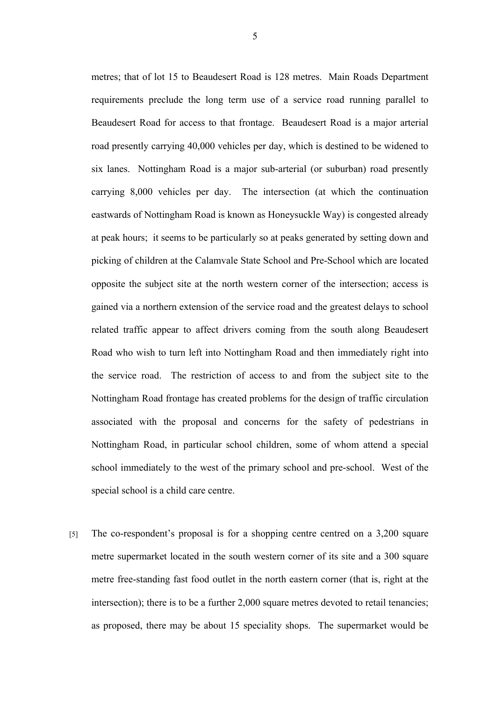metres; that of lot 15 to Beaudesert Road is 128 metres. Main Roads Department requirements preclude the long term use of a service road running parallel to Beaudesert Road for access to that frontage. Beaudesert Road is a major arterial road presently carrying 40,000 vehicles per day, which is destined to be widened to six lanes. Nottingham Road is a major sub-arterial (or suburban) road presently carrying 8,000 vehicles per day. The intersection (at which the continuation eastwards of Nottingham Road is known as Honeysuckle Way) is congested already at peak hours; it seems to be particularly so at peaks generated by setting down and picking of children at the Calamvale State School and Pre-School which are located opposite the subject site at the north western corner of the intersection; access is gained via a northern extension of the service road and the greatest delays to school related traffic appear to affect drivers coming from the south along Beaudesert Road who wish to turn left into Nottingham Road and then immediately right into the service road. The restriction of access to and from the subject site to the Nottingham Road frontage has created problems for the design of traffic circulation associated with the proposal and concerns for the safety of pedestrians in Nottingham Road, in particular school children, some of whom attend a special school immediately to the west of the primary school and pre-school. West of the special school is a child care centre.

[5] The co-respondent's proposal is for a shopping centre centred on a 3,200 square metre supermarket located in the south western corner of its site and a 300 square metre free-standing fast food outlet in the north eastern corner (that is, right at the intersection); there is to be a further 2,000 square metres devoted to retail tenancies; as proposed, there may be about 15 speciality shops. The supermarket would be

5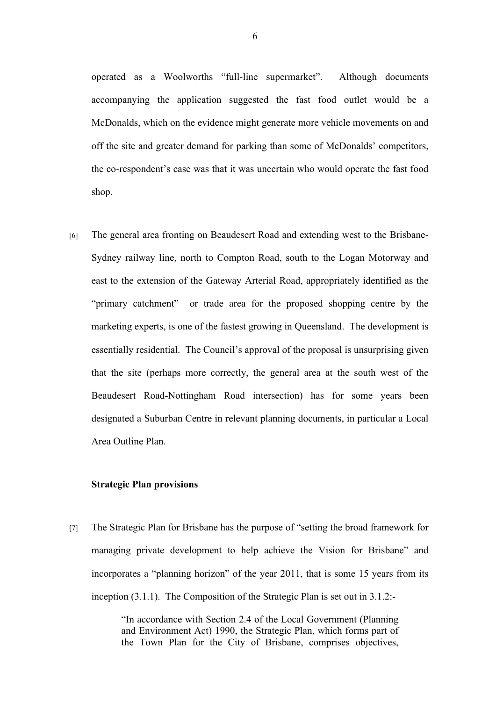operated as a Woolworths "full-line supermarket". Although documents accompanying the application suggested the fast food outlet would be a McDonalds, which on the evidence might generate more vehicle movements on and off the site and greater demand for parking than some of McDonalds' competitors, the co-respondent's case was that it was uncertain who would operate the fast food shop.

[6] The general area fronting on Beaudesert Road and extending west to the Brisbane-Sydney railway line, north to Compton Road, south to the Logan Motorway and east to the extension of the Gateway Arterial Road, appropriately identified as the "primary catchment" or trade area for the proposed shopping centre by the marketing experts, is one of the fastest growing in Queensland. The development is essentially residential. The Council's approval of the proposal is unsurprising given that the site (perhaps more correctly, the general area at the south west of the Beaudesert Road-Nottingham Road intersection) has for some years been designated a Suburban Centre in relevant planning documents, in particular a Local Area Outline Plan.

# **Strategic Plan provisions**

[7] The Strategic Plan for Brisbane has the purpose of "setting the broad framework for managing private development to help achieve the Vision for Brisbane" and incorporates a "planning horizon" of the year 2011, that is some 15 years from its inception (3.1.1). The Composition of the Strategic Plan is set out in 3.1.2:-

> "In accordance with Section 2.4 of the Local Government (Planning and Environment Act) 1990, the Strategic Plan, which forms part of the Town Plan for the City of Brisbane, comprises objectives,

6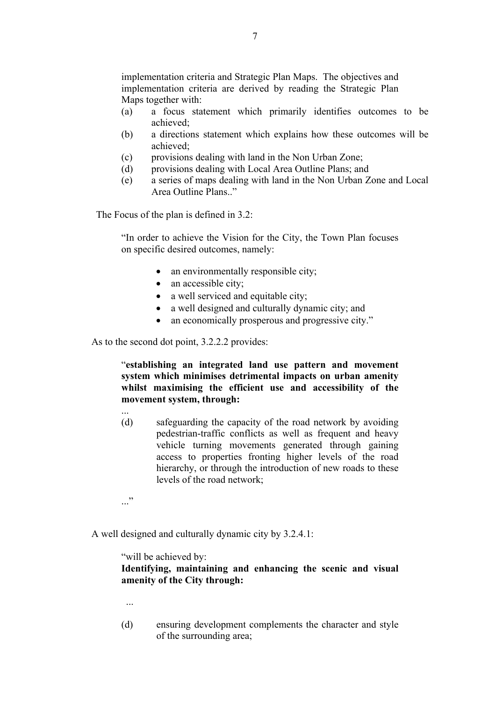implementation criteria and Strategic Plan Maps. The objectives and implementation criteria are derived by reading the Strategic Plan Maps together with:

- (a) a focus statement which primarily identifies outcomes to be achieved;
- (b) a directions statement which explains how these outcomes will be achieved;
- (c) provisions dealing with land in the Non Urban Zone;
- (d) provisions dealing with Local Area Outline Plans; and
- (e) a series of maps dealing with land in the Non Urban Zone and Local Area Outline Plans."

The Focus of the plan is defined in 3.2:

"In order to achieve the Vision for the City, the Town Plan focuses on specific desired outcomes, namely:

- an environmentally responsible city;
- an accessible city;
- a well serviced and equitable city;
- a well designed and culturally dynamic city; and
- an economically prosperous and progressive city."

As to the second dot point, 3.2.2.2 provides:

"**establishing an integrated land use pattern and movement system which minimises detrimental impacts on urban amenity whilst maximising the efficient use and accessibility of the movement system, through:**

(d) safeguarding the capacity of the road network by avoiding pedestrian-traffic conflicts as well as frequent and heavy vehicle turning movements generated through gaining access to properties fronting higher levels of the road hierarchy, or through the introduction of new roads to these levels of the road network;

..."

A well designed and culturally dynamic city by 3.2.4.1:

"will be achieved by:

**Identifying, maintaining and enhancing the scenic and visual amenity of the City through:**

- ...
- (d) ensuring development complements the character and style of the surrounding area;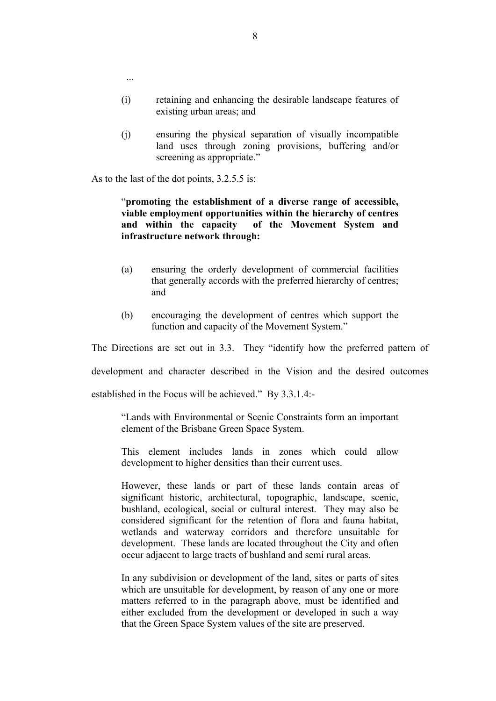- (i) retaining and enhancing the desirable landscape features of existing urban areas; and
- (j) ensuring the physical separation of visually incompatible land uses through zoning provisions, buffering and/or screening as appropriate."

As to the last of the dot points, 3.2.5.5 is:

...

# "**promoting the establishment of a diverse range of accessible, viable employment opportunities within the hierarchy of centres**  of the Movement System and **infrastructure network through:**

- (a) ensuring the orderly development of commercial facilities that generally accords with the preferred hierarchy of centres; and
- (b) encouraging the development of centres which support the function and capacity of the Movement System."

The Directions are set out in 3.3. They "identify how the preferred pattern of

development and character described in the Vision and the desired outcomes

established in the Focus will be achieved." By 3.3.1.4:-

"Lands with Environmental or Scenic Constraints form an important element of the Brisbane Green Space System.

This element includes lands in zones which could allow development to higher densities than their current uses.

However, these lands or part of these lands contain areas of significant historic, architectural, topographic, landscape, scenic, bushland, ecological, social or cultural interest. They may also be considered significant for the retention of flora and fauna habitat, wetlands and waterway corridors and therefore unsuitable for development. These lands are located throughout the City and often occur adjacent to large tracts of bushland and semi rural areas.

In any subdivision or development of the land, sites or parts of sites which are unsuitable for development, by reason of any one or more matters referred to in the paragraph above, must be identified and either excluded from the development or developed in such a way that the Green Space System values of the site are preserved.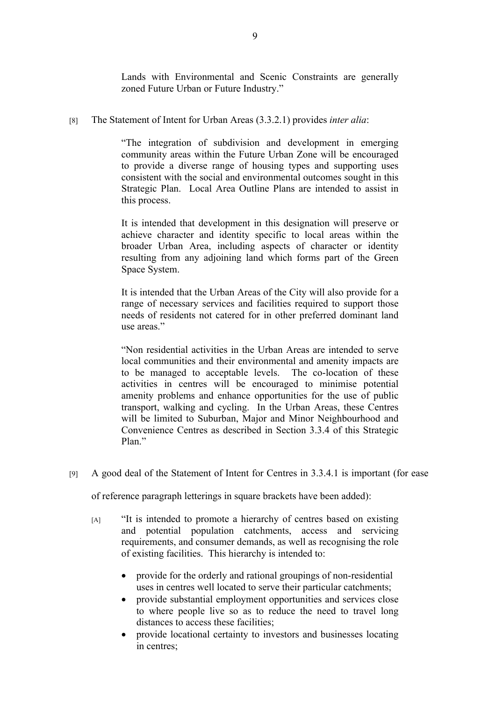Lands with Environmental and Scenic Constraints are generally zoned Future Urban or Future Industry."

[8] The Statement of Intent for Urban Areas (3.3.2.1) provides *inter alia*:

"The integration of subdivision and development in emerging community areas within the Future Urban Zone will be encouraged to provide a diverse range of housing types and supporting uses consistent with the social and environmental outcomes sought in this Strategic Plan. Local Area Outline Plans are intended to assist in this process.

It is intended that development in this designation will preserve or achieve character and identity specific to local areas within the broader Urban Area, including aspects of character or identity resulting from any adjoining land which forms part of the Green Space System.

It is intended that the Urban Areas of the City will also provide for a range of necessary services and facilities required to support those needs of residents not catered for in other preferred dominant land use areas."

"Non residential activities in the Urban Areas are intended to serve local communities and their environmental and amenity impacts are to be managed to acceptable levels. The co-location of these activities in centres will be encouraged to minimise potential amenity problems and enhance opportunities for the use of public transport, walking and cycling. In the Urban Areas, these Centres will be limited to Suburban, Major and Minor Neighbourhood and Convenience Centres as described in Section 3.3.4 of this Strategic Plan<sup>"</sup>

[9] A good deal of the Statement of Intent for Centres in 3.3.4.1 is important (for ease

of reference paragraph letterings in square brackets have been added):

- [A] "It is intended to promote a hierarchy of centres based on existing and potential population catchments, access and servicing requirements, and consumer demands, as well as recognising the role of existing facilities. This hierarchy is intended to:
	- provide for the orderly and rational groupings of non-residential uses in centres well located to serve their particular catchments;
	- provide substantial employment opportunities and services close to where people live so as to reduce the need to travel long distances to access these facilities;
	- provide locational certainty to investors and businesses locating in centres;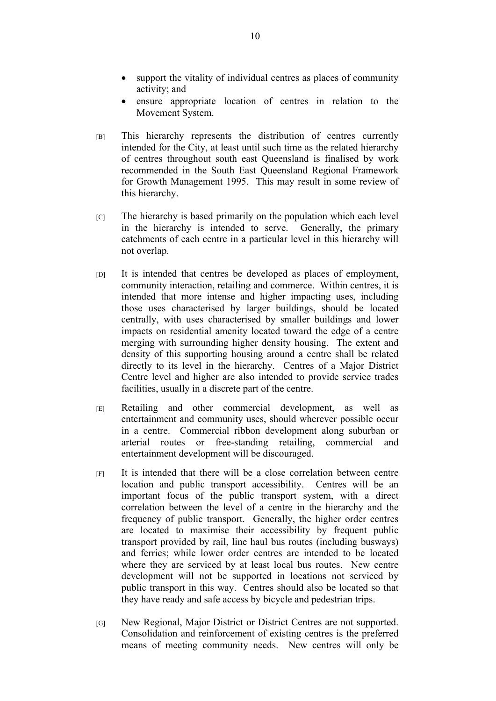- support the vitality of individual centres as places of community activity; and
- ensure appropriate location of centres in relation to the Movement System.
- [B] This hierarchy represents the distribution of centres currently intended for the City, at least until such time as the related hierarchy of centres throughout south east Queensland is finalised by work recommended in the South East Queensland Regional Framework for Growth Management 1995. This may result in some review of this hierarchy.
- $|C|$  The hierarchy is based primarily on the population which each level in the hierarchy is intended to serve. Generally, the primary catchments of each centre in a particular level in this hierarchy will not overlap.
- [D] It is intended that centres be developed as places of employment, community interaction, retailing and commerce. Within centres, it is intended that more intense and higher impacting uses, including those uses characterised by larger buildings, should be located centrally, with uses characterised by smaller buildings and lower impacts on residential amenity located toward the edge of a centre merging with surrounding higher density housing. The extent and density of this supporting housing around a centre shall be related directly to its level in the hierarchy. Centres of a Major District Centre level and higher are also intended to provide service trades facilities, usually in a discrete part of the centre.
- [E] Retailing and other commercial development, as well as entertainment and community uses, should wherever possible occur in a centre. Commercial ribbon development along suburban or arterial routes or free-standing retailing, commercial and entertainment development will be discouraged.
- [F] It is intended that there will be a close correlation between centre location and public transport accessibility. Centres will be an important focus of the public transport system, with a direct correlation between the level of a centre in the hierarchy and the frequency of public transport. Generally, the higher order centres are located to maximise their accessibility by frequent public transport provided by rail, line haul bus routes (including busways) and ferries; while lower order centres are intended to be located where they are serviced by at least local bus routes. New centre development will not be supported in locations not serviced by public transport in this way. Centres should also be located so that they have ready and safe access by bicycle and pedestrian trips.
- [G] New Regional, Major District or District Centres are not supported. Consolidation and reinforcement of existing centres is the preferred means of meeting community needs. New centres will only be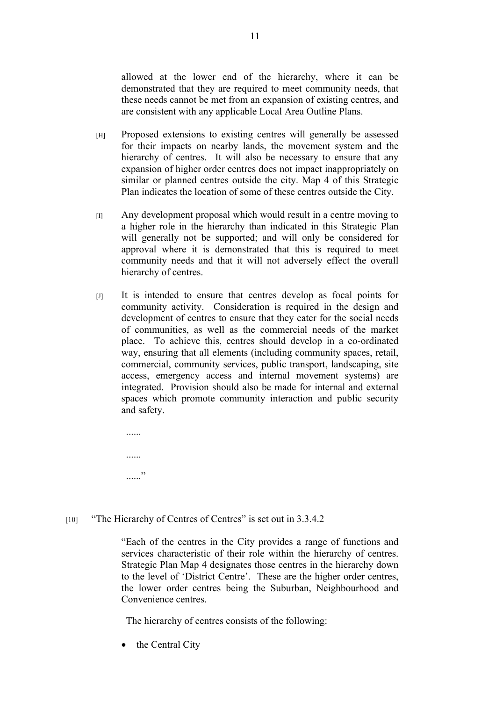allowed at the lower end of the hierarchy, where it can be demonstrated that they are required to meet community needs, that these needs cannot be met from an expansion of existing centres, and are consistent with any applicable Local Area Outline Plans.

- [H] Proposed extensions to existing centres will generally be assessed for their impacts on nearby lands, the movement system and the hierarchy of centres. It will also be necessary to ensure that any expansion of higher order centres does not impact inappropriately on similar or planned centres outside the city. Map 4 of this Strategic Plan indicates the location of some of these centres outside the City.
- [I] Any development proposal which would result in a centre moving to a higher role in the hierarchy than indicated in this Strategic Plan will generally not be supported; and will only be considered for approval where it is demonstrated that this is required to meet community needs and that it will not adversely effect the overall hierarchy of centres.
- [J] It is intended to ensure that centres develop as focal points for community activity. Consideration is required in the design and development of centres to ensure that they cater for the social needs of communities, as well as the commercial needs of the market place. To achieve this, centres should develop in a co-ordinated way, ensuring that all elements (including community spaces, retail, commercial, community services, public transport, landscaping, site access, emergency access and internal movement systems) are integrated. Provision should also be made for internal and external spaces which promote community interaction and public security and safety.

...... ...... ..<br>......

[10] "The Hierarchy of Centres of Centres" is set out in 3.3.4.2

"Each of the centres in the City provides a range of functions and services characteristic of their role within the hierarchy of centres. Strategic Plan Map 4 designates those centres in the hierarchy down to the level of 'District Centre'. These are the higher order centres, the lower order centres being the Suburban, Neighbourhood and Convenience centres.

The hierarchy of centres consists of the following:

• the Central City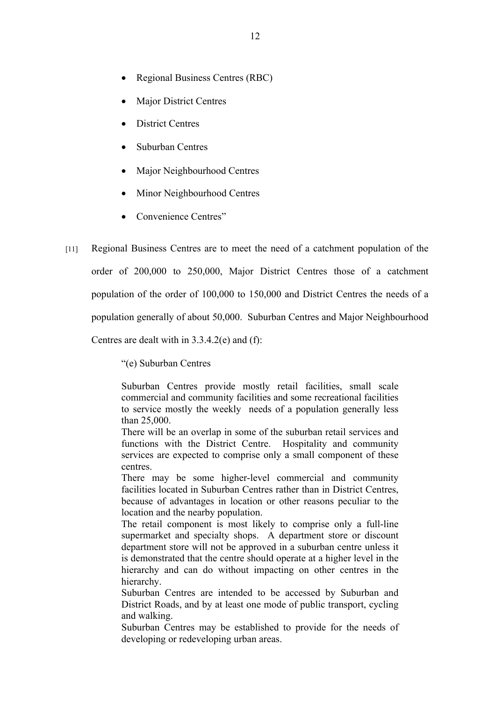- Regional Business Centres (RBC)
- Major District Centres
- District Centres
- Suburban Centres
- Major Neighbourhood Centres
- Minor Neighbourhood Centres
- Convenience Centres"
- [11] Regional Business Centres are to meet the need of a catchment population of the order of 200,000 to 250,000, Major District Centres those of a catchment population of the order of 100,000 to 150,000 and District Centres the needs of a population generally of about 50,000. Suburban Centres and Major Neighbourhood Centres are dealt with in 3.3.4.2(e) and (f):

"(e) Suburban Centres

Suburban Centres provide mostly retail facilities, small scale commercial and community facilities and some recreational facilities to service mostly the weekly needs of a population generally less than 25,000.

There will be an overlap in some of the suburban retail services and functions with the District Centre. Hospitality and community services are expected to comprise only a small component of these centres.

There may be some higher-level commercial and community facilities located in Suburban Centres rather than in District Centres, because of advantages in location or other reasons peculiar to the location and the nearby population.

The retail component is most likely to comprise only a full-line supermarket and specialty shops. A department store or discount department store will not be approved in a suburban centre unless it is demonstrated that the centre should operate at a higher level in the hierarchy and can do without impacting on other centres in the hierarchy.

Suburban Centres are intended to be accessed by Suburban and District Roads, and by at least one mode of public transport, cycling and walking.

Suburban Centres may be established to provide for the needs of developing or redeveloping urban areas.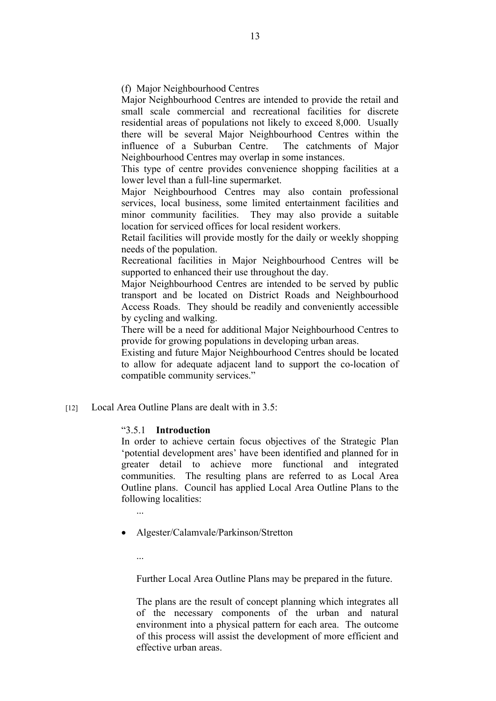(f) Major Neighbourhood Centres

Major Neighbourhood Centres are intended to provide the retail and small scale commercial and recreational facilities for discrete residential areas of populations not likely to exceed 8,000. Usually there will be several Major Neighbourhood Centres within the influence of a Suburban Centre. The catchments of Major Neighbourhood Centres may overlap in some instances.

This type of centre provides convenience shopping facilities at a lower level than a full-line supermarket.

Major Neighbourhood Centres may also contain professional services, local business, some limited entertainment facilities and minor community facilities. They may also provide a suitable location for serviced offices for local resident workers.

Retail facilities will provide mostly for the daily or weekly shopping needs of the population.

Recreational facilities in Major Neighbourhood Centres will be supported to enhanced their use throughout the day.

Major Neighbourhood Centres are intended to be served by public transport and be located on District Roads and Neighbourhood Access Roads. They should be readily and conveniently accessible by cycling and walking.

There will be a need for additional Major Neighbourhood Centres to provide for growing populations in developing urban areas.

Existing and future Major Neighbourhood Centres should be located to allow for adequate adjacent land to support the co-location of compatible community services."

[12] Local Area Outline Plans are dealt with in  $3.5^\circ$ 

# "3.5.1 **Introduction**

In order to achieve certain focus objectives of the Strategic Plan 'potential development ares' have been identified and planned for in greater detail to achieve more functional and integrated communities. The resulting plans are referred to as Local Area Outline plans. Council has applied Local Area Outline Plans to the following localities:

- Algester/Calamvale/Parkinson/Stretton
	- ...

Further Local Area Outline Plans may be prepared in the future.

The plans are the result of concept planning which integrates all of the necessary components of the urban and natural environment into a physical pattern for each area. The outcome of this process will assist the development of more efficient and effective urban areas.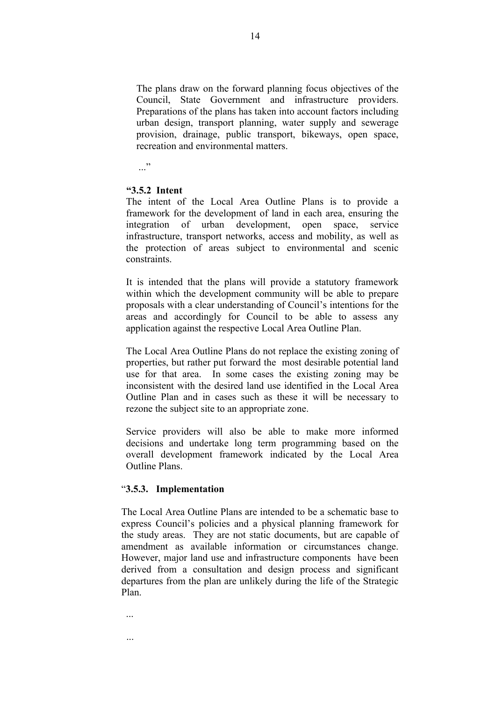The plans draw on the forward planning focus objectives of the Council, State Government and infrastructure providers. Preparations of the plans has taken into account factors including urban design, transport planning, water supply and sewerage provision, drainage, public transport, bikeways, open space, recreation and environmental matters.

 $\cdot$ ..."

#### **"3.5.2 Intent**

The intent of the Local Area Outline Plans is to provide a framework for the development of land in each area, ensuring the integration of urban development, open space, service infrastructure, transport networks, access and mobility, as well as the protection of areas subject to environmental and scenic constraints.

It is intended that the plans will provide a statutory framework within which the development community will be able to prepare proposals with a clear understanding of Council's intentions for the areas and accordingly for Council to be able to assess any application against the respective Local Area Outline Plan.

The Local Area Outline Plans do not replace the existing zoning of properties, but rather put forward the most desirable potential land use for that area. In some cases the existing zoning may be inconsistent with the desired land use identified in the Local Area Outline Plan and in cases such as these it will be necessary to rezone the subject site to an appropriate zone.

Service providers will also be able to make more informed decisions and undertake long term programming based on the overall development framework indicated by the Local Area Outline Plans.

## "**3.5.3. Implementation**

...

...

The Local Area Outline Plans are intended to be a schematic base to express Council's policies and a physical planning framework for the study areas. They are not static documents, but are capable of amendment as available information or circumstances change. However, major land use and infrastructure components have been derived from a consultation and design process and significant departures from the plan are unlikely during the life of the Strategic Plan.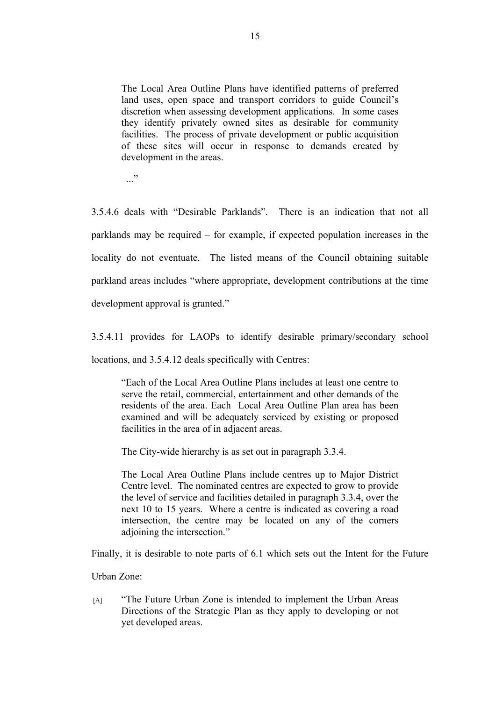The Local Area Outline Plans have identified patterns of preferred land uses, open space and transport corridors to guide Council's discretion when assessing development applications. In some cases they identify privately owned sites as desirable for community facilities. The process of private development or public acquisition of these sites will occur in response to demands created by development in the areas.

..."

3.5.4.6 deals with "Desirable Parklands". There is an indication that not all parklands may be required – for example, if expected population increases in the locality do not eventuate. The listed means of the Council obtaining suitable parkland areas includes "where appropriate, development contributions at the time development approval is granted."

3.5.4.11 provides for LAOPs to identify desirable primary/secondary school locations, and 3.5.4.12 deals specifically with Centres:

"Each of the Local Area Outline Plans includes at least one centre to serve the retail, commercial, entertainment and other demands of the residents of the area. Each Local Area Outline Plan area has been examined and will be adequately serviced by existing or proposed facilities in the area of in adjacent areas.

The City-wide hierarchy is as set out in paragraph 3.3.4.

The Local Area Outline Plans include centres up to Major District Centre level. The nominated centres are expected to grow to provide the level of service and facilities detailed in paragraph 3.3.4, over the next 10 to 15 years. Where a centre is indicated as covering a road intersection, the centre may be located on any of the corners adjoining the intersection."

Finally, it is desirable to note parts of 6.1 which sets out the Intent for the Future

Urban Zone:

 [A] "The Future Urban Zone is intended to implement the Urban Areas Directions of the Strategic Plan as they apply to developing or not yet developed areas.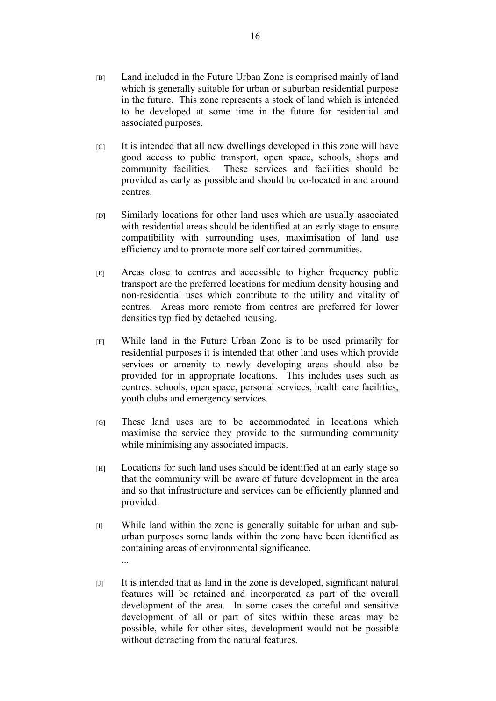- [B] Land included in the Future Urban Zone is comprised mainly of land which is generally suitable for urban or suburban residential purpose in the future. This zone represents a stock of land which is intended to be developed at some time in the future for residential and associated purposes.
- $|C|$  It is intended that all new dwellings developed in this zone will have good access to public transport, open space, schools, shops and community facilities. These services and facilities should be provided as early as possible and should be co-located in and around centres.
- [D] Similarly locations for other land uses which are usually associated with residential areas should be identified at an early stage to ensure compatibility with surrounding uses, maximisation of land use efficiency and to promote more self contained communities.
- [E] Areas close to centres and accessible to higher frequency public transport are the preferred locations for medium density housing and non-residential uses which contribute to the utility and vitality of centres. Areas more remote from centres are preferred for lower densities typified by detached housing.
- [F] While land in the Future Urban Zone is to be used primarily for residential purposes it is intended that other land uses which provide services or amenity to newly developing areas should also be provided for in appropriate locations. This includes uses such as centres, schools, open space, personal services, health care facilities, youth clubs and emergency services.
- [G] These land uses are to be accommodated in locations which maximise the service they provide to the surrounding community while minimising any associated impacts.
- [H] Locations for such land uses should be identified at an early stage so that the community will be aware of future development in the area and so that infrastructure and services can be efficiently planned and provided.
- [I] While land within the zone is generally suitable for urban and suburban purposes some lands within the zone have been identified as containing areas of environmental significance. ...
- $|J|$  It is intended that as land in the zone is developed, significant natural features will be retained and incorporated as part of the overall development of the area. In some cases the careful and sensitive development of all or part of sites within these areas may be possible, while for other sites, development would not be possible without detracting from the natural features.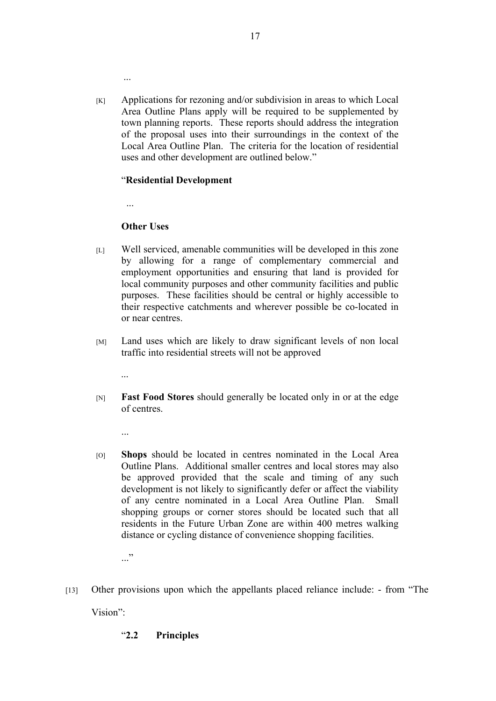[K] Applications for rezoning and/or subdivision in areas to which Local Area Outline Plans apply will be required to be supplemented by town planning reports. These reports should address the integration of the proposal uses into their surroundings in the context of the Local Area Outline Plan. The criteria for the location of residential uses and other development are outlined below."

# "**Residential Development**

...

...

# **Other Uses**

- [L] Well serviced, amenable communities will be developed in this zone by allowing for a range of complementary commercial and employment opportunities and ensuring that land is provided for local community purposes and other community facilities and public purposes. These facilities should be central or highly accessible to their respective catchments and wherever possible be co-located in or near centres.
- [M] Land uses which are likely to draw significant levels of non local traffic into residential streets will not be approved
	- ...
- [N] **Fast Food Stores** should generally be located only in or at the edge of centres.
	- ...
- [O] **Shops** should be located in centres nominated in the Local Area Outline Plans. Additional smaller centres and local stores may also be approved provided that the scale and timing of any such development is not likely to significantly defer or affect the viability of any centre nominated in a Local Area Outline Plan. Small shopping groups or corner stores should be located such that all residents in the Future Urban Zone are within 400 metres walking distance or cycling distance of convenience shopping facilities.

..."

[13] Other provisions upon which the appellants placed reliance include: - from "The Vision":

# "**2.2 Principles**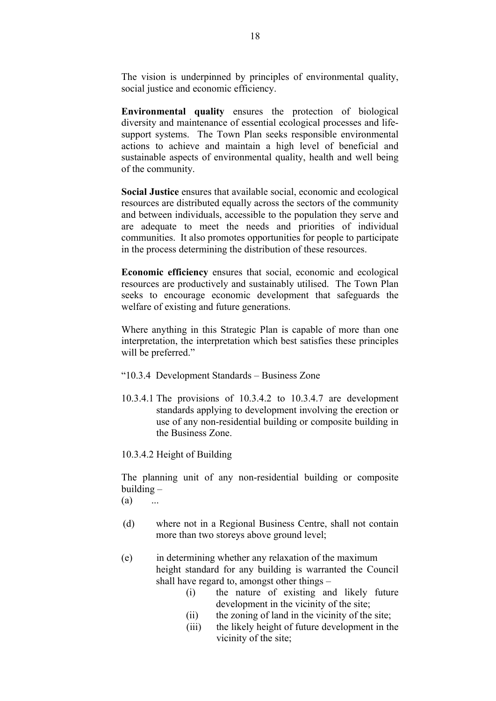The vision is underpinned by principles of environmental quality, social justice and economic efficiency.

**Environmental quality** ensures the protection of biological diversity and maintenance of essential ecological processes and lifesupport systems. The Town Plan seeks responsible environmental actions to achieve and maintain a high level of beneficial and sustainable aspects of environmental quality, health and well being of the community.

**Social Justice** ensures that available social, economic and ecological resources are distributed equally across the sectors of the community and between individuals, accessible to the population they serve and are adequate to meet the needs and priorities of individual communities. It also promotes opportunities for people to participate in the process determining the distribution of these resources.

**Economic efficiency** ensures that social, economic and ecological resources are productively and sustainably utilised. The Town Plan seeks to encourage economic development that safeguards the welfare of existing and future generations.

Where anything in this Strategic Plan is capable of more than one interpretation, the interpretation which best satisfies these principles will be preferred."

- "10.3.4 Development Standards Business Zone
- 10.3.4.1 The provisions of 10.3.4.2 to 10.3.4.7 are development standards applying to development involving the erection or use of any non-residential building or composite building in the Business Zone.

10.3.4.2 Height of Building

The planning unit of any non-residential building or composite building –

- $(a)$  ...
- (d) where not in a Regional Business Centre, shall not contain more than two storeys above ground level;
- (e) in determining whether any relaxation of the maximum height standard for any building is warranted the Council shall have regard to, amongst other things –
	- (i) the nature of existing and likely future development in the vicinity of the site;
	- (ii) the zoning of land in the vicinity of the site;
	- (iii) the likely height of future development in the vicinity of the site;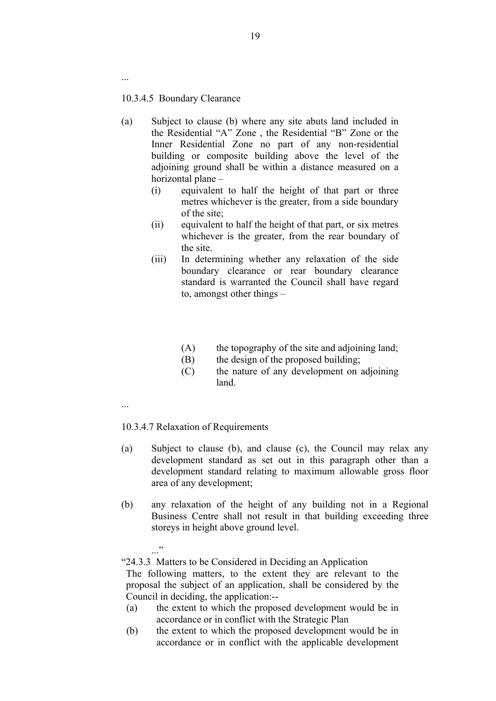10.3.4.5 Boundary Clearance

...

- (a) Subject to clause (b) where any site abuts land included in the Residential "A" Zone , the Residential "B" Zone or the Inner Residential Zone no part of any non-residential building or composite building above the level of the adjoining ground shall be within a distance measured on a horizontal plane –
	- (i) equivalent to half the height of that part or three metres whichever is the greater, from a side boundary of the site;
	- (ii) equivalent to half the height of that part, or six metres whichever is the greater, from the rear boundary of the site.
	- (iii) In determining whether any relaxation of the side boundary clearance or rear boundary clearance standard is warranted the Council shall have regard to, amongst other things –
		- (A) the topography of the site and adjoining land;
		- (B) the design of the proposed building;
		- (C) the nature of any development on adjoining land.
- ...

# 10.3.4.7 Relaxation of Requirements

- (a) Subject to clause (b), and clause (c), the Council may relax any development standard as set out in this paragraph other than a development standard relating to maximum allowable gross floor area of any development;
- (b) any relaxation of the height of any building not in a Regional Business Centre shall not result in that building exceeding three storeys in height above ground level.
	- ..."

"24.3.3 Matters to be Considered in Deciding an Application

The following matters, to the extent they are relevant to the proposal the subject of an application, shall be considered by the Council in deciding, the application:--

- (a) the extent to which the proposed development would be in accordance or in conflict with the Strategic Plan
- (b) the extent to which the proposed development would be in accordance or in conflict with the applicable development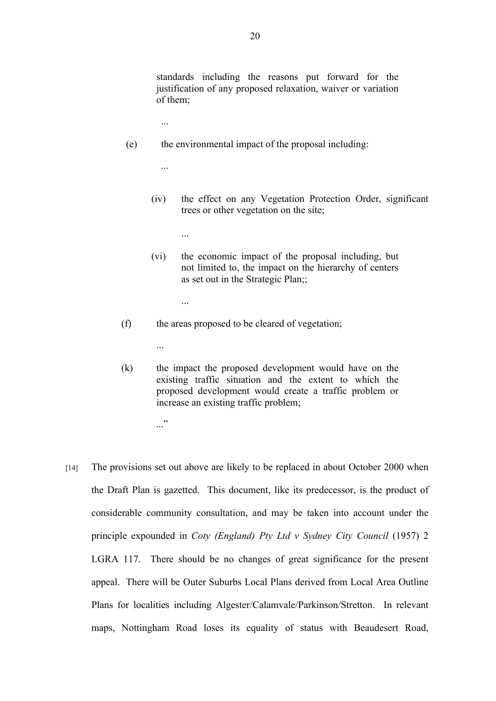standards including the reasons put forward for the justification of any proposed relaxation, waiver or variation of them;

- (e) the environmental impact of the proposal including:
	- (iv) the effect on any Vegetation Protection Order, significant trees or other vegetation on the site;
		- ...

...

...

...

- (vi) the economic impact of the proposal including, but not limited to, the impact on the hierarchy of centers as set out in the Strategic Plan;;
- (f) the areas proposed to be cleared of vegetation;
- (k) the impact the proposed development would have on the existing traffic situation and the extent to which the proposed development would create a traffic problem or increase an existing traffic problem;
	- ..."

...

[14] The provisions set out above are likely to be replaced in about October 2000 when the Draft Plan is gazetted. This document, like its predecessor, is the product of considerable community consultation, and may be taken into account under the principle expounded in *Coty (England) Pty Ltd v Sydney City Council* (1957) 2 LGRA 117. There should be no changes of great significance for the present appeal. There will be Outer Suburbs Local Plans derived from Local Area Outline Plans for localities including Algester/Calamvale/Parkinson/Stretton. In relevant maps, Nottingham Road loses its equality of status with Beaudesert Road,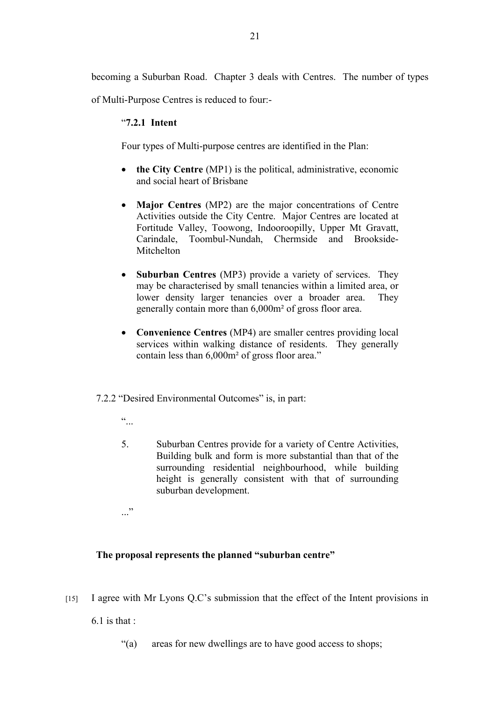becoming a Suburban Road. Chapter 3 deals with Centres. The number of types

of Multi-Purpose Centres is reduced to four:-

# "**7.2.1 Intent**

Four types of Multi-purpose centres are identified in the Plan:

- **the City Centre** (MP1) is the political, administrative, economic and social heart of Brisbane
- **Major Centres** (MP2) are the major concentrations of Centre Activities outside the City Centre. Major Centres are located at Fortitude Valley, Toowong, Indooroopilly, Upper Mt Gravatt, Carindale, Toombul-Nundah, Chermside and Brookside-**Mitchelton**
- **Suburban Centres** (MP3) provide a variety of services. They may be characterised by small tenancies within a limited area, or lower density larger tenancies over a broader area. They generally contain more than 6,000m² of gross floor area.
- **Convenience Centres** (MP4) are smaller centres providing local services within walking distance of residents. They generally contain less than 6,000m² of gross floor area."

# 7.2.2 "Desired Environmental Outcomes" is, in part:

 $\ddot{\cdot}$ 

5. Suburban Centres provide for a variety of Centre Activities, Building bulk and form is more substantial than that of the surrounding residential neighbourhood, while building height is generally consistent with that of surrounding suburban development.

 $\cdot$ ..."

# **The proposal represents the planned "suburban centre"**

[15] I agree with Mr Lyons Q.C's submission that the effect of the Intent provisions in

 $6.1$  is that :

"(a) areas for new dwellings are to have good access to shops;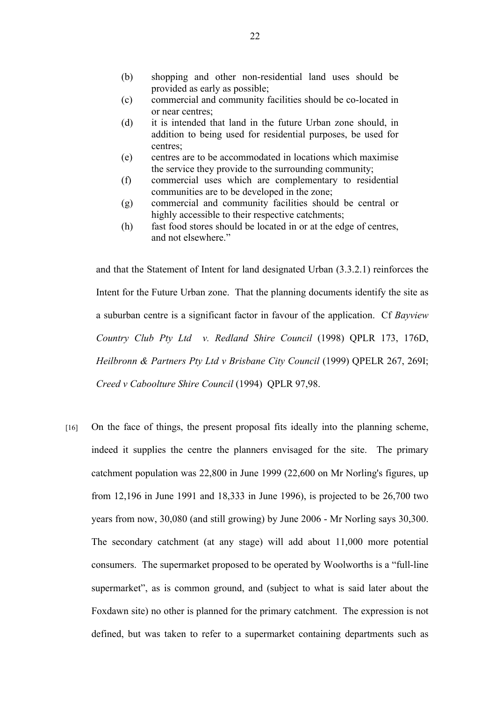- (b) shopping and other non-residential land uses should be provided as early as possible;
- (c) commercial and community facilities should be co-located in or near centres;
- (d) it is intended that land in the future Urban zone should, in addition to being used for residential purposes, be used for centres;
- (e) centres are to be accommodated in locations which maximise the service they provide to the surrounding community;
- (f) commercial uses which are complementary to residential communities are to be developed in the zone;
- (g) commercial and community facilities should be central or highly accessible to their respective catchments;
- (h) fast food stores should be located in or at the edge of centres, and not elsewhere."

and that the Statement of Intent for land designated Urban (3.3.2.1) reinforces the Intent for the Future Urban zone. That the planning documents identify the site as a suburban centre is a significant factor in favour of the application. Cf *Bayview Country Club Pty Ltd v. Redland Shire Council* (1998) QPLR 173, 176D, *Heilbronn & Partners Pty Ltd v Brisbane City Council* (1999) QPELR 267, 269I; *Creed v Caboolture Shire Council* (1994) QPLR 97,98.

[16] On the face of things, the present proposal fits ideally into the planning scheme, indeed it supplies the centre the planners envisaged for the site. The primary catchment population was 22,800 in June 1999 (22,600 on Mr Norling's figures, up from 12,196 in June 1991 and 18,333 in June 1996), is projected to be 26,700 two years from now, 30,080 (and still growing) by June 2006 - Mr Norling says 30,300. The secondary catchment (at any stage) will add about 11,000 more potential consumers. The supermarket proposed to be operated by Woolworths is a "full-line supermarket", as is common ground, and (subject to what is said later about the Foxdawn site) no other is planned for the primary catchment. The expression is not defined, but was taken to refer to a supermarket containing departments such as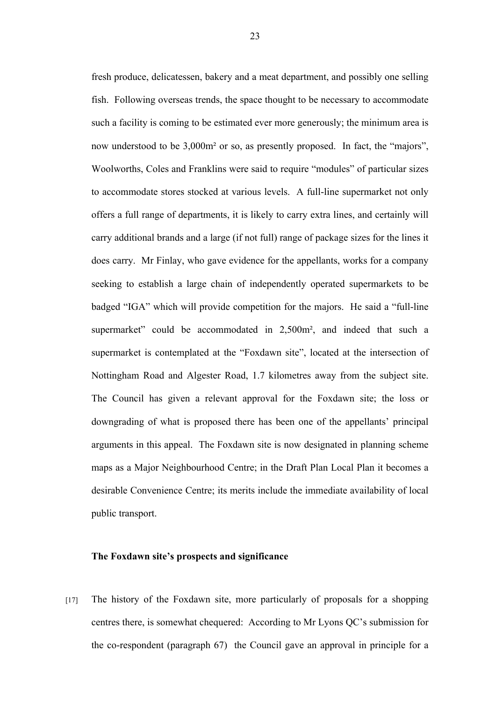fresh produce, delicatessen, bakery and a meat department, and possibly one selling fish. Following overseas trends, the space thought to be necessary to accommodate such a facility is coming to be estimated ever more generously; the minimum area is now understood to be 3,000m² or so, as presently proposed. In fact, the "majors", Woolworths, Coles and Franklins were said to require "modules" of particular sizes to accommodate stores stocked at various levels. A full-line supermarket not only offers a full range of departments, it is likely to carry extra lines, and certainly will carry additional brands and a large (if not full) range of package sizes for the lines it does carry. Mr Finlay, who gave evidence for the appellants, works for a company seeking to establish a large chain of independently operated supermarkets to be badged "IGA" which will provide competition for the majors. He said a "full-line supermarket" could be accommodated in 2,500m<sup>2</sup>, and indeed that such a supermarket is contemplated at the "Foxdawn site", located at the intersection of Nottingham Road and Algester Road, 1.7 kilometres away from the subject site. The Council has given a relevant approval for the Foxdawn site; the loss or downgrading of what is proposed there has been one of the appellants' principal arguments in this appeal. The Foxdawn site is now designated in planning scheme maps as a Major Neighbourhood Centre; in the Draft Plan Local Plan it becomes a desirable Convenience Centre; its merits include the immediate availability of local public transport.

#### **The Foxdawn site's prospects and significance**

[17] The history of the Foxdawn site, more particularly of proposals for a shopping centres there, is somewhat chequered: According to Mr Lyons QC's submission for the co-respondent (paragraph 67) the Council gave an approval in principle for a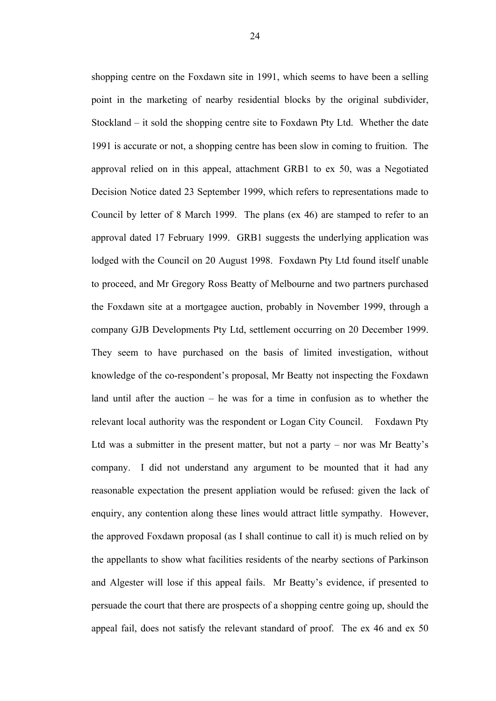shopping centre on the Foxdawn site in 1991, which seems to have been a selling point in the marketing of nearby residential blocks by the original subdivider, Stockland – it sold the shopping centre site to Foxdawn Pty Ltd. Whether the date 1991 is accurate or not, a shopping centre has been slow in coming to fruition. The approval relied on in this appeal, attachment GRB1 to ex 50, was a Negotiated Decision Notice dated 23 September 1999, which refers to representations made to Council by letter of 8 March 1999. The plans (ex 46) are stamped to refer to an approval dated 17 February 1999. GRB1 suggests the underlying application was lodged with the Council on 20 August 1998. Foxdawn Pty Ltd found itself unable to proceed, and Mr Gregory Ross Beatty of Melbourne and two partners purchased the Foxdawn site at a mortgagee auction, probably in November 1999, through a company GJB Developments Pty Ltd, settlement occurring on 20 December 1999. They seem to have purchased on the basis of limited investigation, without knowledge of the co-respondent's proposal, Mr Beatty not inspecting the Foxdawn land until after the auction – he was for a time in confusion as to whether the relevant local authority was the respondent or Logan City Council. Foxdawn Pty Ltd was a submitter in the present matter, but not a party – nor was Mr Beatty's company. I did not understand any argument to be mounted that it had any reasonable expectation the present appliation would be refused: given the lack of enquiry, any contention along these lines would attract little sympathy. However, the approved Foxdawn proposal (as I shall continue to call it) is much relied on by the appellants to show what facilities residents of the nearby sections of Parkinson and Algester will lose if this appeal fails. Mr Beatty's evidence, if presented to persuade the court that there are prospects of a shopping centre going up, should the appeal fail, does not satisfy the relevant standard of proof. The ex 46 and ex 50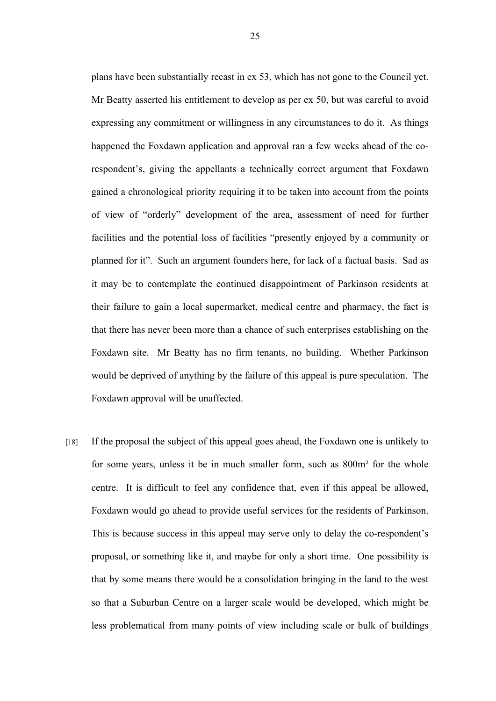plans have been substantially recast in ex 53, which has not gone to the Council yet. Mr Beatty asserted his entitlement to develop as per ex 50, but was careful to avoid expressing any commitment or willingness in any circumstances to do it. As things happened the Foxdawn application and approval ran a few weeks ahead of the corespondent's, giving the appellants a technically correct argument that Foxdawn gained a chronological priority requiring it to be taken into account from the points of view of "orderly" development of the area, assessment of need for further facilities and the potential loss of facilities "presently enjoyed by a community or planned for it". Such an argument founders here, for lack of a factual basis. Sad as it may be to contemplate the continued disappointment of Parkinson residents at their failure to gain a local supermarket, medical centre and pharmacy, the fact is that there has never been more than a chance of such enterprises establishing on the Foxdawn site. Mr Beatty has no firm tenants, no building. Whether Parkinson would be deprived of anything by the failure of this appeal is pure speculation. The Foxdawn approval will be unaffected.

[18] If the proposal the subject of this appeal goes ahead, the Foxdawn one is unlikely to for some years, unless it be in much smaller form, such as 800m² for the whole centre. It is difficult to feel any confidence that, even if this appeal be allowed, Foxdawn would go ahead to provide useful services for the residents of Parkinson. This is because success in this appeal may serve only to delay the co-respondent's proposal, or something like it, and maybe for only a short time. One possibility is that by some means there would be a consolidation bringing in the land to the west so that a Suburban Centre on a larger scale would be developed, which might be less problematical from many points of view including scale or bulk of buildings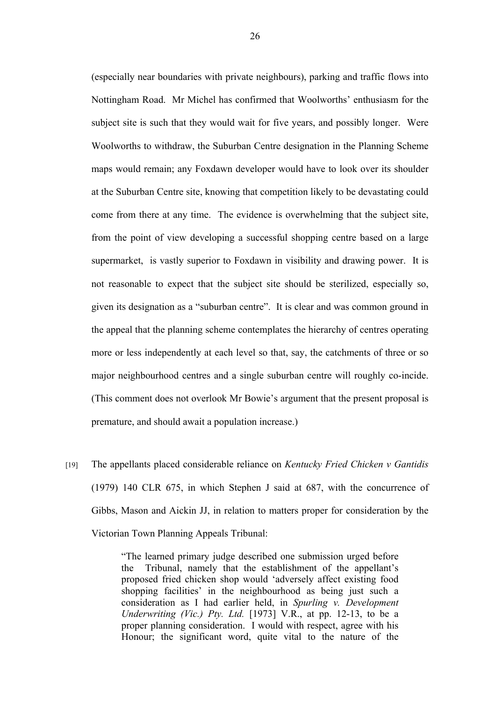(especially near boundaries with private neighbours), parking and traffic flows into Nottingham Road. Mr Michel has confirmed that Woolworths' enthusiasm for the subject site is such that they would wait for five years, and possibly longer. Were Woolworths to withdraw, the Suburban Centre designation in the Planning Scheme maps would remain; any Foxdawn developer would have to look over its shoulder at the Suburban Centre site, knowing that competition likely to be devastating could come from there at any time. The evidence is overwhelming that the subject site, from the point of view developing a successful shopping centre based on a large supermarket, is vastly superior to Foxdawn in visibility and drawing power. It is not reasonable to expect that the subject site should be sterilized, especially so, given its designation as a "suburban centre". It is clear and was common ground in the appeal that the planning scheme contemplates the hierarchy of centres operating more or less independently at each level so that, say, the catchments of three or so major neighbourhood centres and a single suburban centre will roughly co-incide. (This comment does not overlook Mr Bowie's argument that the present proposal is premature, and should await a population increase.)

[19] The appellants placed considerable reliance on *Kentucky Fried Chicken v Gantidis*  (1979) 140 CLR 675, in which Stephen J said at 687, with the concurrence of Gibbs, Mason and Aickin JJ, in relation to matters proper for consideration by the Victorian Town Planning Appeals Tribunal:

> "The learned primary judge described one submission urged before the Tribunal, namely that the establishment of the appellant's proposed fried chicken shop would 'adversely affect existing food shopping facilities' in the neighbourhood as being just such a consideration as I had earlier held, in *Spurling v. Development Underwriting (Vic.) Pty. Ltd.* [1973] V.R., at pp. 12-13, to be a proper planning consideration. I would with respect, agree with his Honour; the significant word, quite vital to the nature of the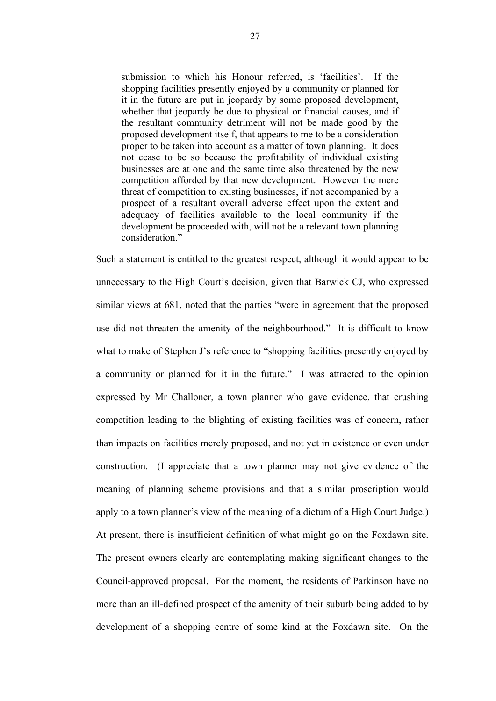submission to which his Honour referred, is 'facilities'. If the shopping facilities presently enjoyed by a community or planned for it in the future are put in jeopardy by some proposed development, whether that jeopardy be due to physical or financial causes, and if the resultant community detriment will not be made good by the proposed development itself, that appears to me to be a consideration proper to be taken into account as a matter of town planning. It does not cease to be so because the profitability of individual existing businesses are at one and the same time also threatened by the new competition afforded by that new development. However the mere threat of competition to existing businesses, if not accompanied by a prospect of a resultant overall adverse effect upon the extent and adequacy of facilities available to the local community if the development be proceeded with, will not be a relevant town planning consideration."

Such a statement is entitled to the greatest respect, although it would appear to be unnecessary to the High Court's decision, given that Barwick CJ, who expressed similar views at 681, noted that the parties "were in agreement that the proposed use did not threaten the amenity of the neighbourhood." It is difficult to know what to make of Stephen J's reference to "shopping facilities presently enjoyed by a community or planned for it in the future." I was attracted to the opinion expressed by Mr Challoner, a town planner who gave evidence, that crushing competition leading to the blighting of existing facilities was of concern, rather than impacts on facilities merely proposed, and not yet in existence or even under construction. (I appreciate that a town planner may not give evidence of the meaning of planning scheme provisions and that a similar proscription would apply to a town planner's view of the meaning of a dictum of a High Court Judge.) At present, there is insufficient definition of what might go on the Foxdawn site. The present owners clearly are contemplating making significant changes to the Council-approved proposal. For the moment, the residents of Parkinson have no more than an ill-defined prospect of the amenity of their suburb being added to by development of a shopping centre of some kind at the Foxdawn site. On the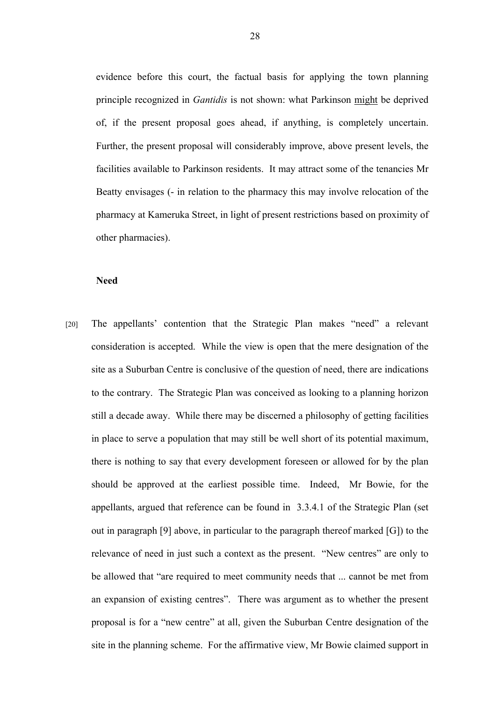evidence before this court, the factual basis for applying the town planning principle recognized in *Gantidis* is not shown: what Parkinson might be deprived of, if the present proposal goes ahead, if anything, is completely uncertain. Further, the present proposal will considerably improve, above present levels, the facilities available to Parkinson residents. It may attract some of the tenancies Mr Beatty envisages (- in relation to the pharmacy this may involve relocation of the pharmacy at Kameruka Street, in light of present restrictions based on proximity of other pharmacies).

#### **Need**

[20] The appellants' contention that the Strategic Plan makes "need" a relevant consideration is accepted. While the view is open that the mere designation of the site as a Suburban Centre is conclusive of the question of need, there are indications to the contrary. The Strategic Plan was conceived as looking to a planning horizon still a decade away. While there may be discerned a philosophy of getting facilities in place to serve a population that may still be well short of its potential maximum, there is nothing to say that every development foreseen or allowed for by the plan should be approved at the earliest possible time. Indeed, Mr Bowie, for the appellants, argued that reference can be found in 3.3.4.1 of the Strategic Plan (set out in paragraph [9] above, in particular to the paragraph thereof marked [G]) to the relevance of need in just such a context as the present. "New centres" are only to be allowed that "are required to meet community needs that ... cannot be met from an expansion of existing centres". There was argument as to whether the present proposal is for a "new centre" at all, given the Suburban Centre designation of the site in the planning scheme. For the affirmative view, Mr Bowie claimed support in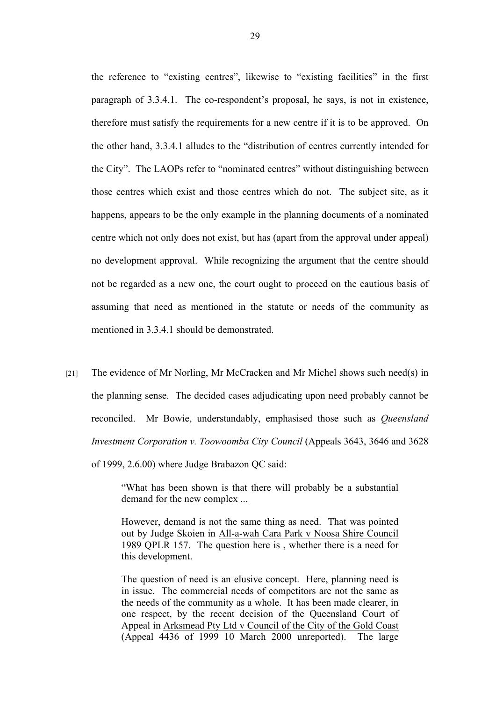the reference to "existing centres", likewise to "existing facilities" in the first paragraph of 3.3.4.1. The co-respondent's proposal, he says, is not in existence, therefore must satisfy the requirements for a new centre if it is to be approved. On the other hand, 3.3.4.1 alludes to the "distribution of centres currently intended for the City". The LAOPs refer to "nominated centres" without distinguishing between those centres which exist and those centres which do not. The subject site, as it happens, appears to be the only example in the planning documents of a nominated centre which not only does not exist, but has (apart from the approval under appeal) no development approval. While recognizing the argument that the centre should not be regarded as a new one, the court ought to proceed on the cautious basis of assuming that need as mentioned in the statute or needs of the community as mentioned in 3.3.4.1 should be demonstrated.

[21] The evidence of Mr Norling, Mr McCracken and Mr Michel shows such need(s) in the planning sense. The decided cases adjudicating upon need probably cannot be reconciled. Mr Bowie, understandably, emphasised those such as *Queensland Investment Corporation v. Toowoomba City Council* (Appeals 3643, 3646 and 3628 of 1999, 2.6.00) where Judge Brabazon QC said:

> "What has been shown is that there will probably be a substantial demand for the new complex ...

> However, demand is not the same thing as need. That was pointed out by Judge Skoien in All-a-wah Cara Park v Noosa Shire Council 1989 QPLR 157. The question here is , whether there is a need for this development.

> The question of need is an elusive concept. Here, planning need is in issue. The commercial needs of competitors are not the same as the needs of the community as a whole. It has been made clearer, in one respect, by the recent decision of the Queensland Court of Appeal in Arksmead Pty Ltd v Council of the City of the Gold Coast (Appeal 4436 of 1999 10 March 2000 unreported). The large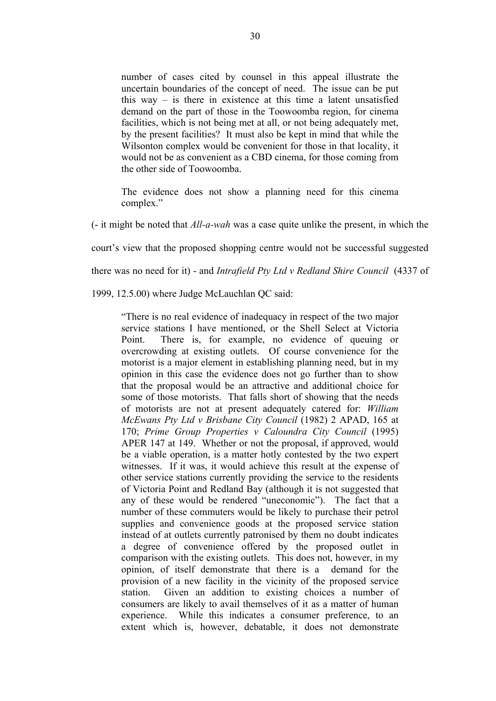number of cases cited by counsel in this appeal illustrate the uncertain boundaries of the concept of need. The issue can be put this way – is there in existence at this time a latent unsatisfied demand on the part of those in the Toowoomba region, for cinema facilities, which is not being met at all, or not being adequately met, by the present facilities? It must also be kept in mind that while the Wilsonton complex would be convenient for those in that locality, it would not be as convenient as a CBD cinema, for those coming from the other side of Toowoomba.

The evidence does not show a planning need for this cinema complex."

(- it might be noted that *All-a-wah* was a case quite unlike the present, in which the

court's view that the proposed shopping centre would not be successful suggested

there was no need for it) - and *Intrafield Pty Ltd v Redland Shire Council* (4337 of

1999, 12.5.00) where Judge McLauchlan QC said:

"There is no real evidence of inadequacy in respect of the two major service stations I have mentioned, or the Shell Select at Victoria Point. There is, for example, no evidence of queuing or overcrowding at existing outlets. Of course convenience for the motorist is a major element in establishing planning need, but in my opinion in this case the evidence does not go further than to show that the proposal would be an attractive and additional choice for some of those motorists. That falls short of showing that the needs of motorists are not at present adequately catered for: *William McEwans Pty Ltd v Brisbane City Council* (1982) 2 APAD, 165 at 170; *Prime Group Properties v Caloundra City Council* (1995) APER 147 at 149. Whether or not the proposal, if approved, would be a viable operation, is a matter hotly contested by the two expert witnesses. If it was, it would achieve this result at the expense of other service stations currently providing the service to the residents of Victoria Point and Redland Bay (although it is not suggested that any of these would be rendered "uneconomic"). The fact that a number of these commuters would be likely to purchase their petrol supplies and convenience goods at the proposed service station instead of at outlets currently patronised by them no doubt indicates a degree of convenience offered by the proposed outlet in comparison with the existing outlets. This does not, however, in my opinion, of itself demonstrate that there is a demand for the provision of a new facility in the vicinity of the proposed service station. Given an addition to existing choices a number of consumers are likely to avail themselves of it as a matter of human experience. While this indicates a consumer preference, to an extent which is, however, debatable, it does not demonstrate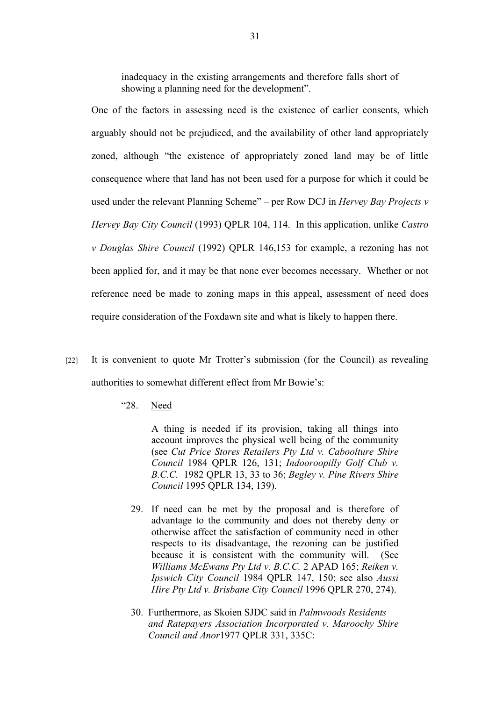inadequacy in the existing arrangements and therefore falls short of showing a planning need for the development".

One of the factors in assessing need is the existence of earlier consents, which arguably should not be prejudiced, and the availability of other land appropriately zoned, although "the existence of appropriately zoned land may be of little consequence where that land has not been used for a purpose for which it could be used under the relevant Planning Scheme" – per Row DCJ in *Hervey Bay Projects v Hervey Bay City Council* (1993) QPLR 104, 114. In this application, unlike *Castro v Douglas Shire Council* (1992) QPLR 146,153 for example, a rezoning has not been applied for, and it may be that none ever becomes necessary. Whether or not reference need be made to zoning maps in this appeal, assessment of need does require consideration of the Foxdawn site and what is likely to happen there.

- [22] It is convenient to quote Mr Trotter's submission (for the Council) as revealing authorities to somewhat different effect from Mr Bowie's:
	- "28. Need

A thing is needed if its provision, taking all things into account improves the physical well being of the community (see *Cut Price Stores Retailers Pty Ltd v. Caboolture Shire Council* 1984 QPLR 126, 131; *Indooroopilly Golf Club v. B.C.C.* 1982 QPLR 13, 33 to 36; *Begley v. Pine Rivers Shire Council* 1995 QPLR 134, 139).

- 29. If need can be met by the proposal and is therefore of advantage to the community and does not thereby deny or otherwise affect the satisfaction of community need in other respects to its disadvantage, the rezoning can be justified because it is consistent with the community will. (See *Williams McEwans Pty Ltd v. B.C.C.* 2 APAD 165; *Reiken v. Ipswich City Council* 1984 QPLR 147, 150; see also *Aussi Hire Pty Ltd v. Brisbane City Council* 1996 QPLR 270, 274).
- 30. Furthermore, as Skoien SJDC said in *Palmwoods Residents and Ratepayers Association Incorporated v. Maroochy Shire Council and Anor*1977 QPLR 331, 335C: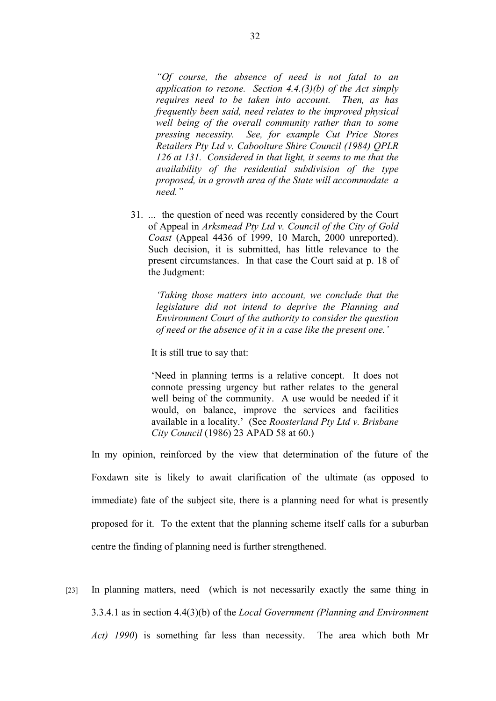*"Of course, the absence of need is not fatal to an application to rezone. Section 4.4.(3)(b) of the Act simply requires need to be taken into account. Then, as has frequently been said, need relates to the improved physical well being of the overall community rather than to some pressing necessity. See, for example Cut Price Stores Retailers Pty Ltd v. Caboolture Shire Council (1984) QPLR 126 at 131. Considered in that light, it seems to me that the availability of the residential subdivision of the type proposed, in a growth area of the State will accommodate a need."*

31. ... the question of need was recently considered by the Court of Appeal in *Arksmead Pty Ltd v. Council of the City of Gold Coast* (Appeal 4436 of 1999, 10 March, 2000 unreported). Such decision, it is submitted, has little relevance to the present circumstances. In that case the Court said at p. 18 of the Judgment:

*'Taking those matters into account, we conclude that the legislature did not intend to deprive the Planning and Environment Court of the authority to consider the question of need or the absence of it in a case like the present one.'*

It is still true to say that:

'Need in planning terms is a relative concept. It does not connote pressing urgency but rather relates to the general well being of the community. A use would be needed if it would, on balance, improve the services and facilities available in a locality.' (See *Roosterland Pty Ltd v. Brisbane City Council* (1986) 23 APAD 58 at 60.)

In my opinion, reinforced by the view that determination of the future of the Foxdawn site is likely to await clarification of the ultimate (as opposed to immediate) fate of the subject site, there is a planning need for what is presently proposed for it. To the extent that the planning scheme itself calls for a suburban centre the finding of planning need is further strengthened.

[23] In planning matters, need (which is not necessarily exactly the same thing in 3.3.4.1 as in section 4.4(3)(b) of the *Local Government (Planning and Environment Act) 1990*) is something far less than necessity. The area which both Mr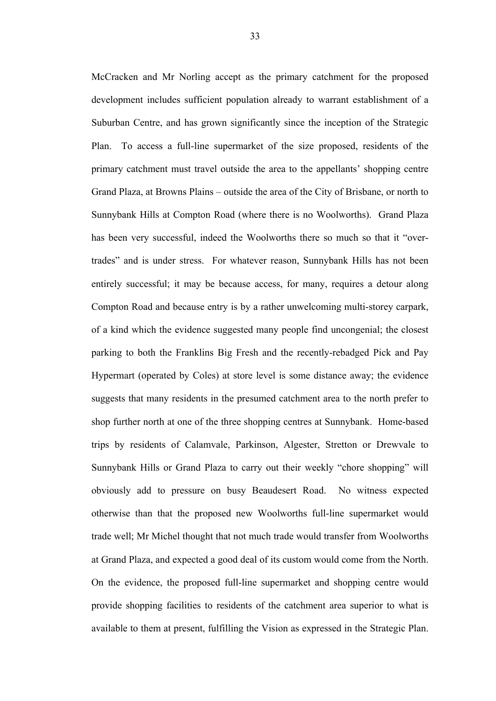McCracken and Mr Norling accept as the primary catchment for the proposed development includes sufficient population already to warrant establishment of a Suburban Centre, and has grown significantly since the inception of the Strategic Plan. To access a full-line supermarket of the size proposed, residents of the primary catchment must travel outside the area to the appellants' shopping centre Grand Plaza, at Browns Plains – outside the area of the City of Brisbane, or north to Sunnybank Hills at Compton Road (where there is no Woolworths). Grand Plaza has been very successful, indeed the Woolworths there so much so that it "overtrades" and is under stress. For whatever reason, Sunnybank Hills has not been entirely successful; it may be because access, for many, requires a detour along Compton Road and because entry is by a rather unwelcoming multi-storey carpark, of a kind which the evidence suggested many people find uncongenial; the closest parking to both the Franklins Big Fresh and the recently-rebadged Pick and Pay Hypermart (operated by Coles) at store level is some distance away; the evidence suggests that many residents in the presumed catchment area to the north prefer to shop further north at one of the three shopping centres at Sunnybank. Home-based trips by residents of Calamvale, Parkinson, Algester, Stretton or Drewvale to Sunnybank Hills or Grand Plaza to carry out their weekly "chore shopping" will obviously add to pressure on busy Beaudesert Road. No witness expected otherwise than that the proposed new Woolworths full-line supermarket would trade well; Mr Michel thought that not much trade would transfer from Woolworths at Grand Plaza, and expected a good deal of its custom would come from the North. On the evidence, the proposed full-line supermarket and shopping centre would provide shopping facilities to residents of the catchment area superior to what is available to them at present, fulfilling the Vision as expressed in the Strategic Plan.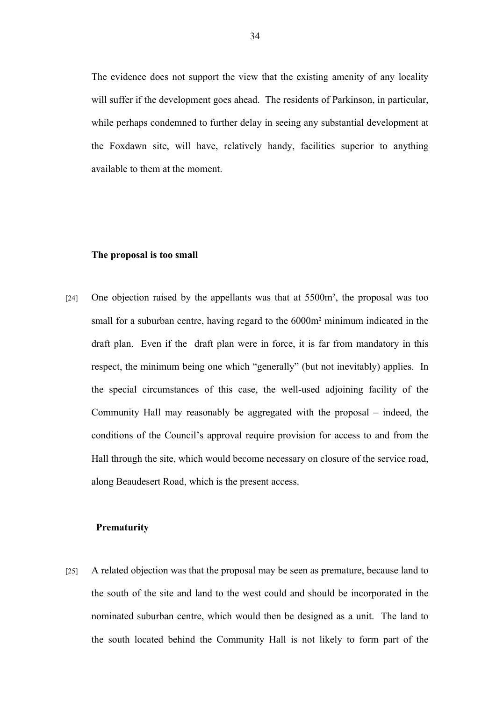The evidence does not support the view that the existing amenity of any locality will suffer if the development goes ahead. The residents of Parkinson, in particular, while perhaps condemned to further delay in seeing any substantial development at the Foxdawn site, will have, relatively handy, facilities superior to anything available to them at the moment.

#### **The proposal is too small**

[24] One objection raised by the appellants was that at 5500m², the proposal was too small for a suburban centre, having regard to the 6000m<sup>2</sup> minimum indicated in the draft plan. Even if the draft plan were in force, it is far from mandatory in this respect, the minimum being one which "generally" (but not inevitably) applies. In the special circumstances of this case, the well-used adjoining facility of the Community Hall may reasonably be aggregated with the proposal – indeed, the conditions of the Council's approval require provision for access to and from the Hall through the site, which would become necessary on closure of the service road, along Beaudesert Road, which is the present access.

# **Prematurity**

[25] A related objection was that the proposal may be seen as premature, because land to the south of the site and land to the west could and should be incorporated in the nominated suburban centre, which would then be designed as a unit. The land to the south located behind the Community Hall is not likely to form part of the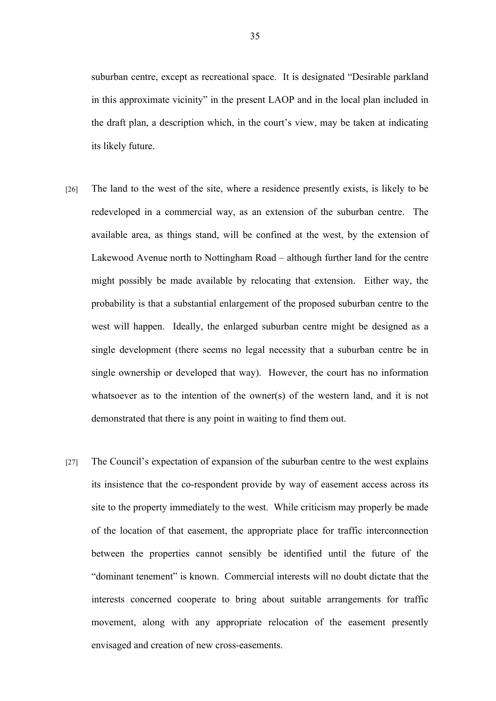suburban centre, except as recreational space. It is designated "Desirable parkland in this approximate vicinity" in the present LAOP and in the local plan included in the draft plan, a description which, in the court's view, may be taken at indicating its likely future.

- [26] The land to the west of the site, where a residence presently exists, is likely to be redeveloped in a commercial way, as an extension of the suburban centre. The available area, as things stand, will be confined at the west, by the extension of Lakewood Avenue north to Nottingham Road – although further land for the centre might possibly be made available by relocating that extension. Either way, the probability is that a substantial enlargement of the proposed suburban centre to the west will happen. Ideally, the enlarged suburban centre might be designed as a single development (there seems no legal necessity that a suburban centre be in single ownership or developed that way). However, the court has no information whatsoever as to the intention of the owner(s) of the western land, and it is not demonstrated that there is any point in waiting to find them out.
- [27] The Council's expectation of expansion of the suburban centre to the west explains its insistence that the co-respondent provide by way of easement access across its site to the property immediately to the west. While criticism may properly be made of the location of that easement, the appropriate place for traffic interconnection between the properties cannot sensibly be identified until the future of the "dominant tenement" is known. Commercial interests will no doubt dictate that the interests concerned cooperate to bring about suitable arrangements for traffic movement, along with any appropriate relocation of the easement presently envisaged and creation of new cross-easements.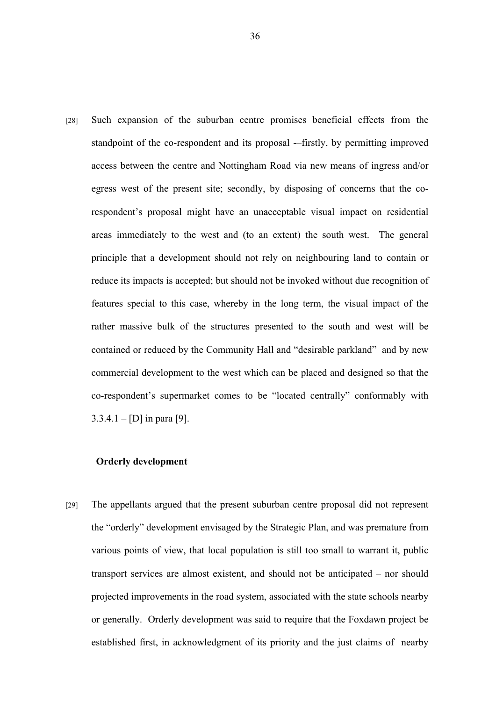[28] Such expansion of the suburban centre promises beneficial effects from the standpoint of the co-respondent and its proposal -–firstly, by permitting improved access between the centre and Nottingham Road via new means of ingress and/or egress west of the present site; secondly, by disposing of concerns that the corespondent's proposal might have an unacceptable visual impact on residential areas immediately to the west and (to an extent) the south west. The general principle that a development should not rely on neighbouring land to contain or reduce its impacts is accepted; but should not be invoked without due recognition of features special to this case, whereby in the long term, the visual impact of the rather massive bulk of the structures presented to the south and west will be contained or reduced by the Community Hall and "desirable parkland" and by new commercial development to the west which can be placed and designed so that the co-respondent's supermarket comes to be "located centrally" conformably with  $3.3.4.1 - [D]$  in para [9].

# **Orderly development**

[29] The appellants argued that the present suburban centre proposal did not represent the "orderly" development envisaged by the Strategic Plan, and was premature from various points of view, that local population is still too small to warrant it, public transport services are almost existent, and should not be anticipated – nor should projected improvements in the road system, associated with the state schools nearby or generally. Orderly development was said to require that the Foxdawn project be established first, in acknowledgment of its priority and the just claims of nearby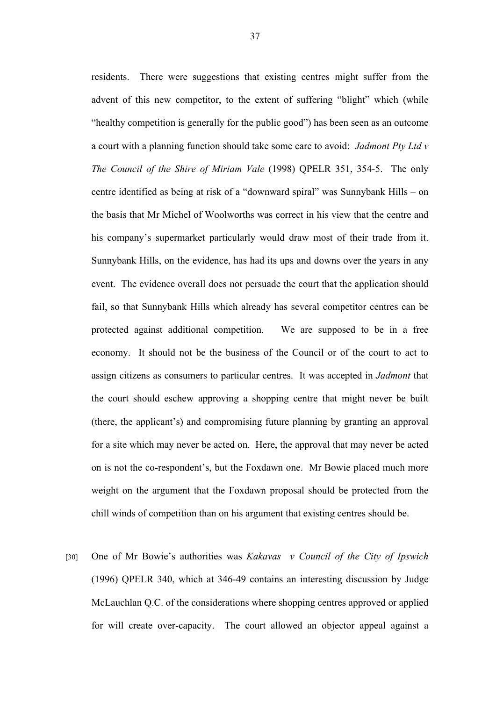residents. There were suggestions that existing centres might suffer from the advent of this new competitor, to the extent of suffering "blight" which (while "healthy competition is generally for the public good") has been seen as an outcome a court with a planning function should take some care to avoid: *Jadmont Pty Ltd v The Council of the Shire of Miriam Vale* (1998) QPELR 351, 354-5. The only centre identified as being at risk of a "downward spiral" was Sunnybank Hills – on the basis that Mr Michel of Woolworths was correct in his view that the centre and his company's supermarket particularly would draw most of their trade from it. Sunnybank Hills, on the evidence, has had its ups and downs over the years in any event. The evidence overall does not persuade the court that the application should fail, so that Sunnybank Hills which already has several competitor centres can be protected against additional competition. We are supposed to be in a free economy. It should not be the business of the Council or of the court to act to assign citizens as consumers to particular centres. It was accepted in *Jadmont* that the court should eschew approving a shopping centre that might never be built (there, the applicant's) and compromising future planning by granting an approval for a site which may never be acted on. Here, the approval that may never be acted on is not the co-respondent's, but the Foxdawn one. Mr Bowie placed much more weight on the argument that the Foxdawn proposal should be protected from the chill winds of competition than on his argument that existing centres should be.

[30] One of Mr Bowie's authorities was *Kakavas v Council of the City of Ipswich* (1996) QPELR 340, which at 346-49 contains an interesting discussion by Judge McLauchlan Q.C. of the considerations where shopping centres approved or applied for will create over-capacity. The court allowed an objector appeal against a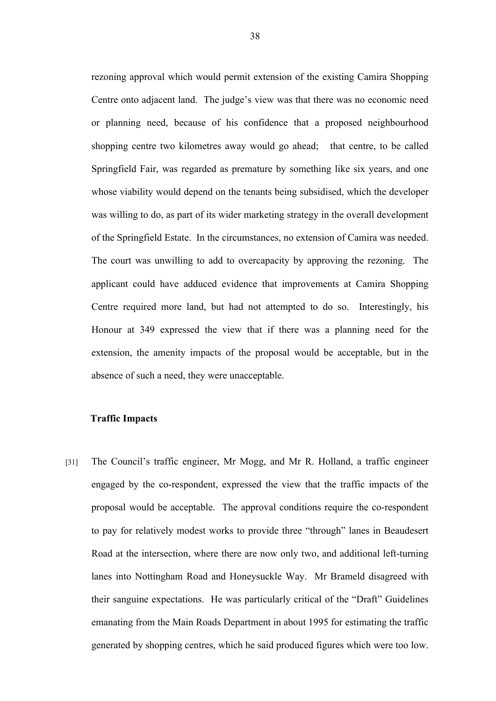rezoning approval which would permit extension of the existing Camira Shopping Centre onto adjacent land. The judge's view was that there was no economic need or planning need, because of his confidence that a proposed neighbourhood shopping centre two kilometres away would go ahead; that centre, to be called Springfield Fair, was regarded as premature by something like six years, and one whose viability would depend on the tenants being subsidised, which the developer was willing to do, as part of its wider marketing strategy in the overall development of the Springfield Estate. In the circumstances, no extension of Camira was needed. The court was unwilling to add to overcapacity by approving the rezoning. The applicant could have adduced evidence that improvements at Camira Shopping Centre required more land, but had not attempted to do so. Interestingly, his Honour at 349 expressed the view that if there was a planning need for the extension, the amenity impacts of the proposal would be acceptable, but in the absence of such a need, they were unacceptable.

## **Traffic Impacts**

[31] The Council's traffic engineer, Mr Mogg, and Mr R. Holland, a traffic engineer engaged by the co-respondent, expressed the view that the traffic impacts of the proposal would be acceptable. The approval conditions require the co-respondent to pay for relatively modest works to provide three "through" lanes in Beaudesert Road at the intersection, where there are now only two, and additional left-turning lanes into Nottingham Road and Honeysuckle Way. Mr Brameld disagreed with their sanguine expectations. He was particularly critical of the "Draft" Guidelines emanating from the Main Roads Department in about 1995 for estimating the traffic generated by shopping centres, which he said produced figures which were too low.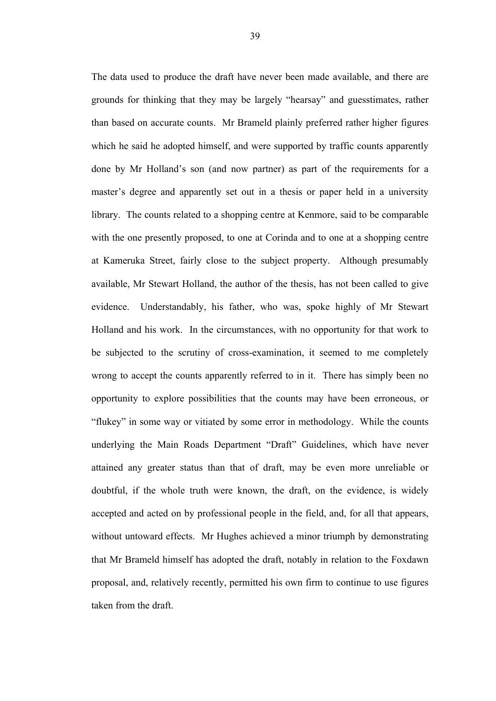The data used to produce the draft have never been made available, and there are grounds for thinking that they may be largely "hearsay" and guesstimates, rather than based on accurate counts. Mr Brameld plainly preferred rather higher figures which he said he adopted himself, and were supported by traffic counts apparently done by Mr Holland's son (and now partner) as part of the requirements for a master's degree and apparently set out in a thesis or paper held in a university library. The counts related to a shopping centre at Kenmore, said to be comparable with the one presently proposed, to one at Corinda and to one at a shopping centre at Kameruka Street, fairly close to the subject property. Although presumably available, Mr Stewart Holland, the author of the thesis, has not been called to give evidence. Understandably, his father, who was, spoke highly of Mr Stewart Holland and his work. In the circumstances, with no opportunity for that work to be subjected to the scrutiny of cross-examination, it seemed to me completely wrong to accept the counts apparently referred to in it. There has simply been no opportunity to explore possibilities that the counts may have been erroneous, or "flukey" in some way or vitiated by some error in methodology. While the counts underlying the Main Roads Department "Draft" Guidelines, which have never attained any greater status than that of draft, may be even more unreliable or doubtful, if the whole truth were known, the draft, on the evidence, is widely accepted and acted on by professional people in the field, and, for all that appears, without untoward effects. Mr Hughes achieved a minor triumph by demonstrating that Mr Brameld himself has adopted the draft, notably in relation to the Foxdawn proposal, and, relatively recently, permitted his own firm to continue to use figures taken from the draft.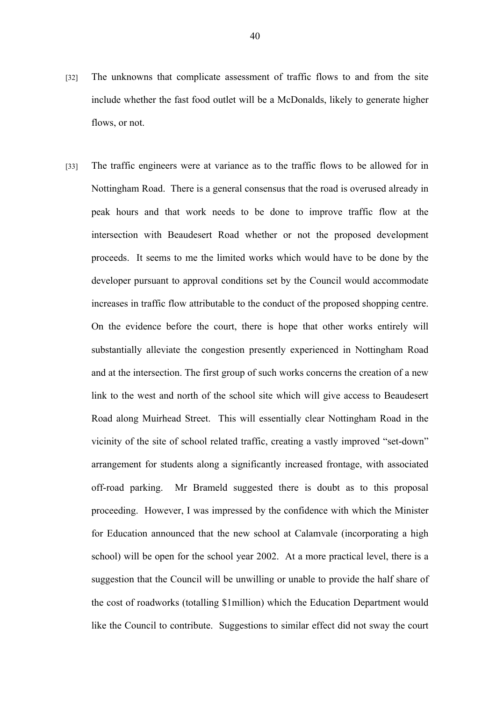- [32] The unknowns that complicate assessment of traffic flows to and from the site include whether the fast food outlet will be a McDonalds, likely to generate higher flows, or not.
- [33] The traffic engineers were at variance as to the traffic flows to be allowed for in Nottingham Road. There is a general consensus that the road is overused already in peak hours and that work needs to be done to improve traffic flow at the intersection with Beaudesert Road whether or not the proposed development proceeds. It seems to me the limited works which would have to be done by the developer pursuant to approval conditions set by the Council would accommodate increases in traffic flow attributable to the conduct of the proposed shopping centre. On the evidence before the court, there is hope that other works entirely will substantially alleviate the congestion presently experienced in Nottingham Road and at the intersection. The first group of such works concerns the creation of a new link to the west and north of the school site which will give access to Beaudesert Road along Muirhead Street. This will essentially clear Nottingham Road in the vicinity of the site of school related traffic, creating a vastly improved "set-down" arrangement for students along a significantly increased frontage, with associated off-road parking. Mr Brameld suggested there is doubt as to this proposal proceeding. However, I was impressed by the confidence with which the Minister for Education announced that the new school at Calamvale (incorporating a high school) will be open for the school year 2002. At a more practical level, there is a suggestion that the Council will be unwilling or unable to provide the half share of the cost of roadworks (totalling \$1million) which the Education Department would like the Council to contribute. Suggestions to similar effect did not sway the court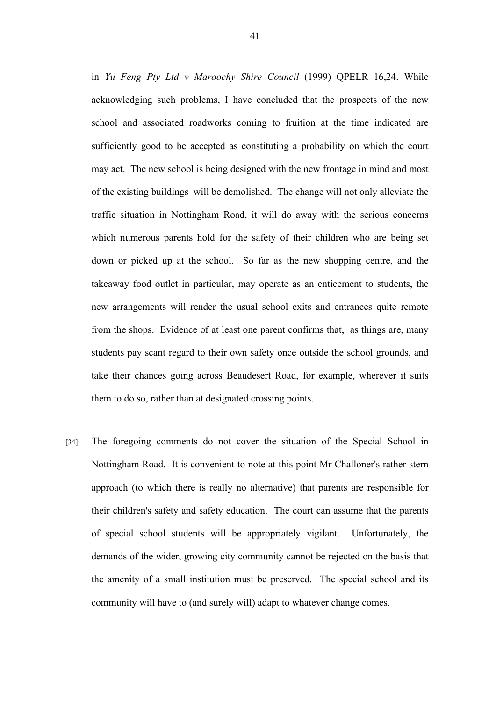in *Yu Feng Pty Ltd v Maroochy Shire Council* (1999) QPELR 16,24. While acknowledging such problems, I have concluded that the prospects of the new school and associated roadworks coming to fruition at the time indicated are sufficiently good to be accepted as constituting a probability on which the court may act. The new school is being designed with the new frontage in mind and most of the existing buildings will be demolished. The change will not only alleviate the traffic situation in Nottingham Road, it will do away with the serious concerns which numerous parents hold for the safety of their children who are being set down or picked up at the school. So far as the new shopping centre, and the takeaway food outlet in particular, may operate as an enticement to students, the new arrangements will render the usual school exits and entrances quite remote from the shops. Evidence of at least one parent confirms that, as things are, many students pay scant regard to their own safety once outside the school grounds, and take their chances going across Beaudesert Road, for example, wherever it suits them to do so, rather than at designated crossing points.

[34] The foregoing comments do not cover the situation of the Special School in Nottingham Road. It is convenient to note at this point Mr Challoner's rather stern approach (to which there is really no alternative) that parents are responsible for their children's safety and safety education. The court can assume that the parents of special school students will be appropriately vigilant. Unfortunately, the demands of the wider, growing city community cannot be rejected on the basis that the amenity of a small institution must be preserved. The special school and its community will have to (and surely will) adapt to whatever change comes.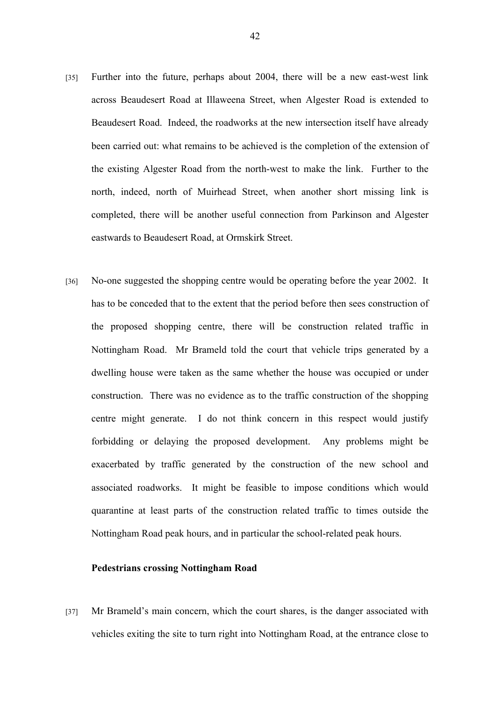- [35] Further into the future, perhaps about 2004, there will be a new east-west link across Beaudesert Road at Illaweena Street, when Algester Road is extended to Beaudesert Road. Indeed, the roadworks at the new intersection itself have already been carried out: what remains to be achieved is the completion of the extension of the existing Algester Road from the north-west to make the link. Further to the north, indeed, north of Muirhead Street, when another short missing link is completed, there will be another useful connection from Parkinson and Algester eastwards to Beaudesert Road, at Ormskirk Street.
- [36] No-one suggested the shopping centre would be operating before the year 2002. It has to be conceded that to the extent that the period before then sees construction of the proposed shopping centre, there will be construction related traffic in Nottingham Road. Mr Brameld told the court that vehicle trips generated by a dwelling house were taken as the same whether the house was occupied or under construction. There was no evidence as to the traffic construction of the shopping centre might generate. I do not think concern in this respect would justify forbidding or delaying the proposed development. Any problems might be exacerbated by traffic generated by the construction of the new school and associated roadworks. It might be feasible to impose conditions which would quarantine at least parts of the construction related traffic to times outside the Nottingham Road peak hours, and in particular the school-related peak hours.

#### **Pedestrians crossing Nottingham Road**

[37] Mr Brameld's main concern, which the court shares, is the danger associated with vehicles exiting the site to turn right into Nottingham Road, at the entrance close to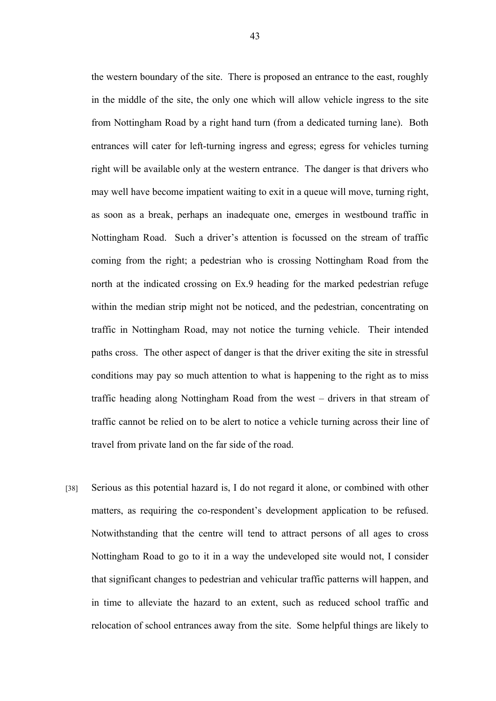the western boundary of the site. There is proposed an entrance to the east, roughly in the middle of the site, the only one which will allow vehicle ingress to the site from Nottingham Road by a right hand turn (from a dedicated turning lane). Both entrances will cater for left-turning ingress and egress; egress for vehicles turning right will be available only at the western entrance. The danger is that drivers who may well have become impatient waiting to exit in a queue will move, turning right, as soon as a break, perhaps an inadequate one, emerges in westbound traffic in Nottingham Road. Such a driver's attention is focussed on the stream of traffic coming from the right; a pedestrian who is crossing Nottingham Road from the north at the indicated crossing on Ex.9 heading for the marked pedestrian refuge within the median strip might not be noticed, and the pedestrian, concentrating on traffic in Nottingham Road, may not notice the turning vehicle. Their intended paths cross. The other aspect of danger is that the driver exiting the site in stressful conditions may pay so much attention to what is happening to the right as to miss traffic heading along Nottingham Road from the west – drivers in that stream of traffic cannot be relied on to be alert to notice a vehicle turning across their line of travel from private land on the far side of the road.

[38] Serious as this potential hazard is, I do not regard it alone, or combined with other matters, as requiring the co-respondent's development application to be refused. Notwithstanding that the centre will tend to attract persons of all ages to cross Nottingham Road to go to it in a way the undeveloped site would not, I consider that significant changes to pedestrian and vehicular traffic patterns will happen, and in time to alleviate the hazard to an extent, such as reduced school traffic and relocation of school entrances away from the site. Some helpful things are likely to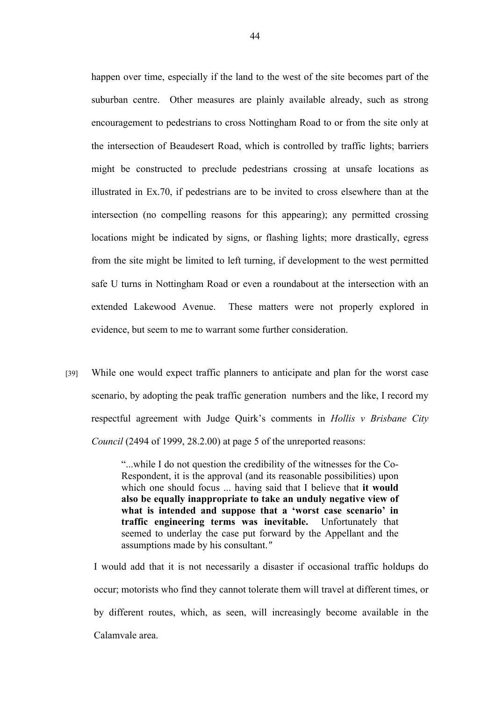happen over time, especially if the land to the west of the site becomes part of the suburban centre. Other measures are plainly available already, such as strong encouragement to pedestrians to cross Nottingham Road to or from the site only at the intersection of Beaudesert Road, which is controlled by traffic lights; barriers might be constructed to preclude pedestrians crossing at unsafe locations as illustrated in Ex.70, if pedestrians are to be invited to cross elsewhere than at the intersection (no compelling reasons for this appearing); any permitted crossing locations might be indicated by signs, or flashing lights; more drastically, egress from the site might be limited to left turning, if development to the west permitted safe U turns in Nottingham Road or even a roundabout at the intersection with an extended Lakewood Avenue. These matters were not properly explored in evidence, but seem to me to warrant some further consideration.

[39] While one would expect traffic planners to anticipate and plan for the worst case scenario, by adopting the peak traffic generation numbers and the like, I record my respectful agreement with Judge Quirk's comments in *Hollis v Brisbane City Council* (2494 of 1999, 28.2.00) at page 5 of the unreported reasons:

> "...while I do not question the credibility of the witnesses for the Co-Respondent, it is the approval (and its reasonable possibilities) upon which one should focus ... having said that I believe that **it would also be equally inappropriate to take an unduly negative view of what is intended and suppose that a 'worst case scenario' in traffic engineering terms was inevitable.** Unfortunately that seemed to underlay the case put forward by the Appellant and the assumptions made by his consultant.*"*

I would add that it is not necessarily a disaster if occasional traffic holdups do occur; motorists who find they cannot tolerate them will travel at different times, or by different routes, which, as seen, will increasingly become available in the Calamvale area.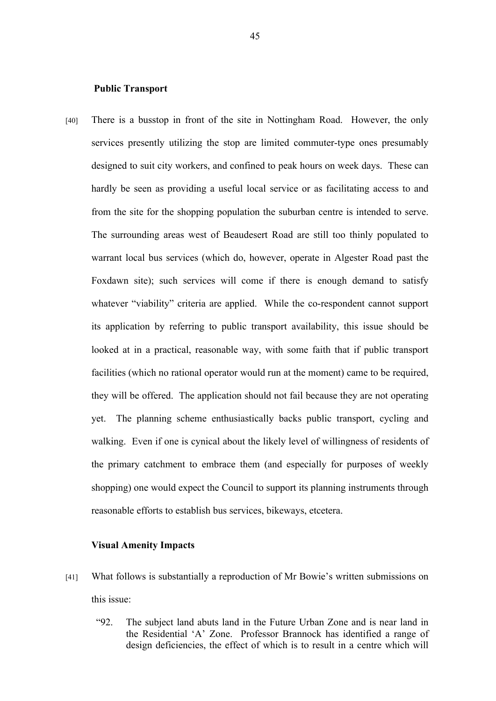#### **Public Transport**

[40] There is a busstop in front of the site in Nottingham Road. However, the only services presently utilizing the stop are limited commuter-type ones presumably designed to suit city workers, and confined to peak hours on week days. These can hardly be seen as providing a useful local service or as facilitating access to and from the site for the shopping population the suburban centre is intended to serve. The surrounding areas west of Beaudesert Road are still too thinly populated to warrant local bus services (which do, however, operate in Algester Road past the Foxdawn site); such services will come if there is enough demand to satisfy whatever "viability" criteria are applied. While the co-respondent cannot support its application by referring to public transport availability, this issue should be looked at in a practical, reasonable way, with some faith that if public transport facilities (which no rational operator would run at the moment) came to be required, they will be offered. The application should not fail because they are not operating yet. The planning scheme enthusiastically backs public transport, cycling and walking. Even if one is cynical about the likely level of willingness of residents of the primary catchment to embrace them (and especially for purposes of weekly shopping) one would expect the Council to support its planning instruments through reasonable efforts to establish bus services, bikeways, etcetera.

#### **Visual Amenity Impacts**

- [41] What follows is substantially a reproduction of Mr Bowie's written submissions on this issue:
	- "92. The subject land abuts land in the Future Urban Zone and is near land in the Residential 'A' Zone. Professor Brannock has identified a range of design deficiencies, the effect of which is to result in a centre which will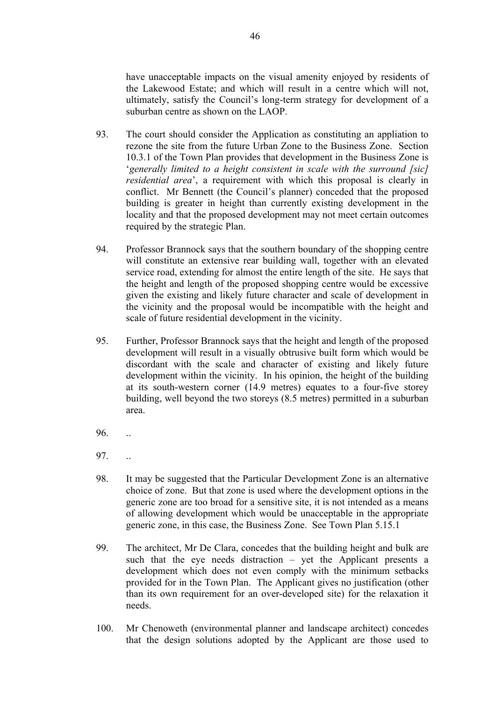have unacceptable impacts on the visual amenity enjoyed by residents of the Lakewood Estate; and which will result in a centre which will not, ultimately, satisfy the Council's long-term strategy for development of a suburban centre as shown on the LAOP.

- 93. The court should consider the Application as constituting an appliation to rezone the site from the future Urban Zone to the Business Zone. Section 10.3.1 of the Town Plan provides that development in the Business Zone is '*generally limited to a height consistent in scale with the surround [sic] residential area*', a requirement with which this proposal is clearly in conflict. Mr Bennett (the Council's planner) conceded that the proposed building is greater in height than currently existing development in the locality and that the proposed development may not meet certain outcomes required by the strategic Plan.
- 94. Professor Brannock says that the southern boundary of the shopping centre will constitute an extensive rear building wall, together with an elevated service road, extending for almost the entire length of the site. He says that the height and length of the proposed shopping centre would be excessive given the existing and likely future character and scale of development in the vicinity and the proposal would be incompatible with the height and scale of future residential development in the vicinity.
- 95. Further, Professor Brannock says that the height and length of the proposed development will result in a visually obtrusive built form which would be discordant with the scale and character of existing and likely future development within the vicinity. In his opinion, the height of the building at its south-western corner (14.9 metres) equates to a four-five storey building, well beyond the two storeys (8.5 metres) permitted in a suburban area.
- 96. ..
- 97. ..
- 98. It may be suggested that the Particular Development Zone is an alternative choice of zone. But that zone is used where the development options in the generic zone are too broad for a sensitive site, it is not intended as a means of allowing development which would be unacceptable in the appropriate generic zone, in this case, the Business Zone. See Town Plan 5.15.1
- 99. The architect, Mr De Clara, concedes that the building height and bulk are such that the eye needs distraction – yet the Applicant presents a development which does not even comply with the minimum setbacks provided for in the Town Plan. The Applicant gives no justification (other than its own requirement for an over-developed site) for the relaxation it needs.
- 100. Mr Chenoweth (environmental planner and landscape architect) concedes that the design solutions adopted by the Applicant are those used to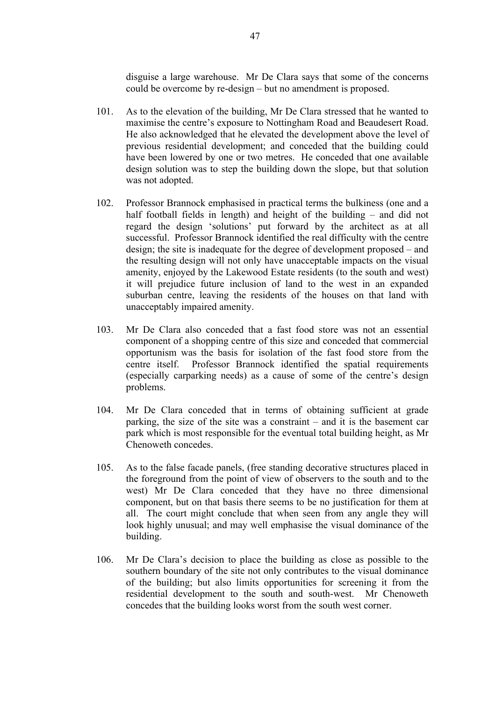disguise a large warehouse. Mr De Clara says that some of the concerns could be overcome by re-design – but no amendment is proposed.

- 101. As to the elevation of the building, Mr De Clara stressed that he wanted to maximise the centre's exposure to Nottingham Road and Beaudesert Road. He also acknowledged that he elevated the development above the level of previous residential development; and conceded that the building could have been lowered by one or two metres. He conceded that one available design solution was to step the building down the slope, but that solution was not adopted.
- 102. Professor Brannock emphasised in practical terms the bulkiness (one and a half football fields in length) and height of the building – and did not regard the design 'solutions' put forward by the architect as at all successful. Professor Brannock identified the real difficulty with the centre design; the site is inadequate for the degree of development proposed – and the resulting design will not only have unacceptable impacts on the visual amenity, enjoyed by the Lakewood Estate residents (to the south and west) it will prejudice future inclusion of land to the west in an expanded suburban centre, leaving the residents of the houses on that land with unacceptably impaired amenity.
- 103. Mr De Clara also conceded that a fast food store was not an essential component of a shopping centre of this size and conceded that commercial opportunism was the basis for isolation of the fast food store from the centre itself. Professor Brannock identified the spatial requirements (especially carparking needs) as a cause of some of the centre's design problems.
- 104. Mr De Clara conceded that in terms of obtaining sufficient at grade parking, the size of the site was a constraint – and it is the basement car park which is most responsible for the eventual total building height, as Mr Chenoweth concedes.
- 105. As to the false facade panels, (free standing decorative structures placed in the foreground from the point of view of observers to the south and to the west) Mr De Clara conceded that they have no three dimensional component, but on that basis there seems to be no justification for them at all. The court might conclude that when seen from any angle they will look highly unusual; and may well emphasise the visual dominance of the building.
- 106. Mr De Clara's decision to place the building as close as possible to the southern boundary of the site not only contributes to the visual dominance of the building; but also limits opportunities for screening it from the residential development to the south and south-west. Mr Chenoweth concedes that the building looks worst from the south west corner.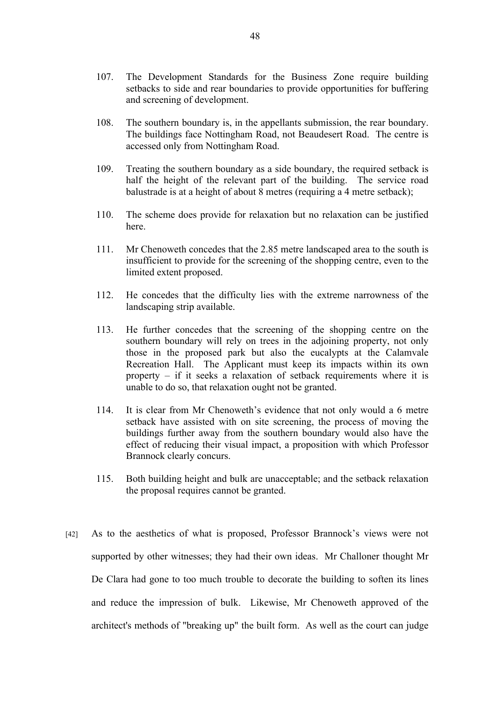- 107. The Development Standards for the Business Zone require building setbacks to side and rear boundaries to provide opportunities for buffering and screening of development.
- 108. The southern boundary is, in the appellants submission, the rear boundary. The buildings face Nottingham Road, not Beaudesert Road. The centre is accessed only from Nottingham Road.
- 109. Treating the southern boundary as a side boundary, the required setback is half the height of the relevant part of the building. The service road balustrade is at a height of about 8 metres (requiring a 4 metre setback);
- 110. The scheme does provide for relaxation but no relaxation can be justified here.
- 111. Mr Chenoweth concedes that the 2.85 metre landscaped area to the south is insufficient to provide for the screening of the shopping centre, even to the limited extent proposed.
- 112. He concedes that the difficulty lies with the extreme narrowness of the landscaping strip available.
- 113. He further concedes that the screening of the shopping centre on the southern boundary will rely on trees in the adjoining property, not only those in the proposed park but also the eucalypts at the Calamvale Recreation Hall. The Applicant must keep its impacts within its own property – if it seeks a relaxation of setback requirements where it is unable to do so, that relaxation ought not be granted.
- 114. It is clear from Mr Chenoweth's evidence that not only would a 6 metre setback have assisted with on site screening, the process of moving the buildings further away from the southern boundary would also have the effect of reducing their visual impact, a proposition with which Professor Brannock clearly concurs.
- 115. Both building height and bulk are unacceptable; and the setback relaxation the proposal requires cannot be granted.
- [42] As to the aesthetics of what is proposed, Professor Brannock's views were not supported by other witnesses; they had their own ideas. Mr Challoner thought Mr De Clara had gone to too much trouble to decorate the building to soften its lines and reduce the impression of bulk. Likewise, Mr Chenoweth approved of the architect's methods of "breaking up" the built form. As well as the court can judge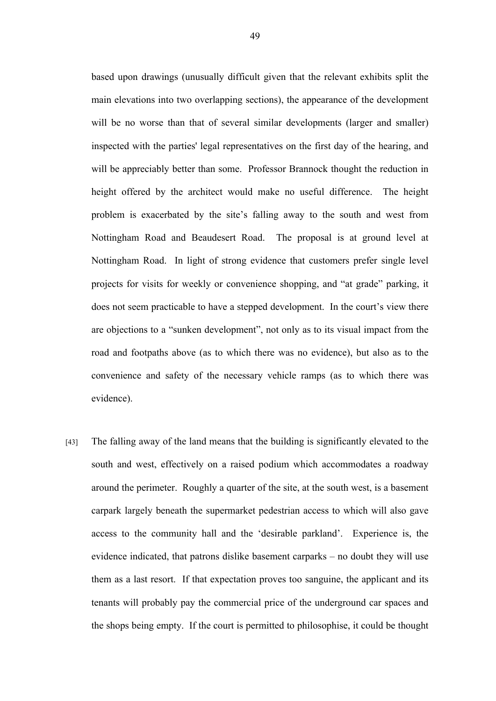based upon drawings (unusually difficult given that the relevant exhibits split the main elevations into two overlapping sections), the appearance of the development will be no worse than that of several similar developments (larger and smaller) inspected with the parties' legal representatives on the first day of the hearing, and will be appreciably better than some. Professor Brannock thought the reduction in height offered by the architect would make no useful difference. The height problem is exacerbated by the site's falling away to the south and west from Nottingham Road and Beaudesert Road. The proposal is at ground level at Nottingham Road. In light of strong evidence that customers prefer single level projects for visits for weekly or convenience shopping, and "at grade" parking, it does not seem practicable to have a stepped development. In the court's view there are objections to a "sunken development", not only as to its visual impact from the road and footpaths above (as to which there was no evidence), but also as to the convenience and safety of the necessary vehicle ramps (as to which there was evidence).

[43] The falling away of the land means that the building is significantly elevated to the south and west, effectively on a raised podium which accommodates a roadway around the perimeter. Roughly a quarter of the site, at the south west, is a basement carpark largely beneath the supermarket pedestrian access to which will also gave access to the community hall and the 'desirable parkland'. Experience is, the evidence indicated, that patrons dislike basement carparks – no doubt they will use them as a last resort. If that expectation proves too sanguine, the applicant and its tenants will probably pay the commercial price of the underground car spaces and the shops being empty. If the court is permitted to philosophise, it could be thought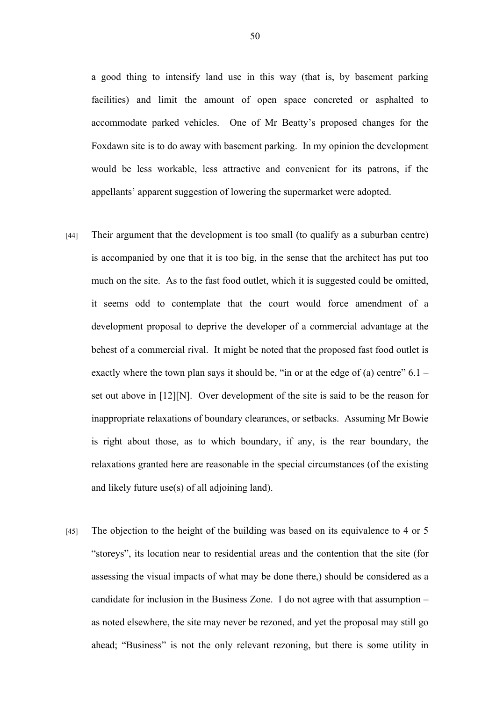a good thing to intensify land use in this way (that is, by basement parking facilities) and limit the amount of open space concreted or asphalted to accommodate parked vehicles. One of Mr Beatty's proposed changes for the Foxdawn site is to do away with basement parking. In my opinion the development would be less workable, less attractive and convenient for its patrons, if the appellants' apparent suggestion of lowering the supermarket were adopted.

- [44] Their argument that the development is too small (to qualify as a suburban centre) is accompanied by one that it is too big, in the sense that the architect has put too much on the site. As to the fast food outlet, which it is suggested could be omitted, it seems odd to contemplate that the court would force amendment of a development proposal to deprive the developer of a commercial advantage at the behest of a commercial rival. It might be noted that the proposed fast food outlet is exactly where the town plan says it should be, "in or at the edge of (a) centre"  $6.1$ set out above in [12][N]. Over development of the site is said to be the reason for inappropriate relaxations of boundary clearances, or setbacks. Assuming Mr Bowie is right about those, as to which boundary, if any, is the rear boundary, the relaxations granted here are reasonable in the special circumstances (of the existing and likely future use(s) of all adjoining land).
- [45] The objection to the height of the building was based on its equivalence to 4 or 5 "storeys", its location near to residential areas and the contention that the site (for assessing the visual impacts of what may be done there,) should be considered as a candidate for inclusion in the Business Zone. I do not agree with that assumption – as noted elsewhere, the site may never be rezoned, and yet the proposal may still go ahead; "Business" is not the only relevant rezoning, but there is some utility in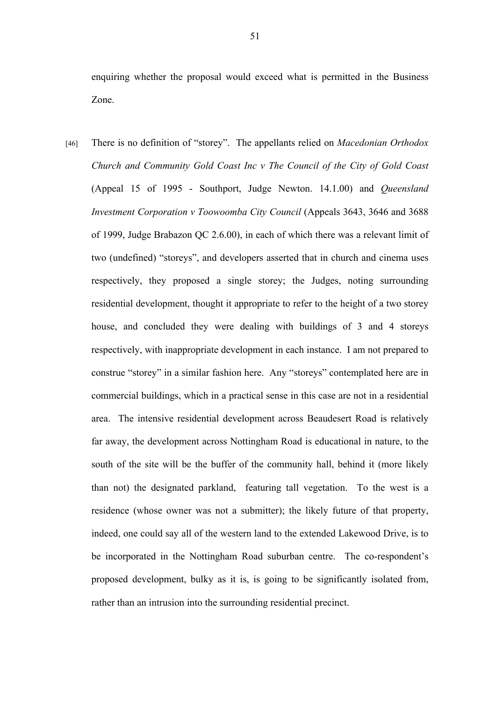enquiring whether the proposal would exceed what is permitted in the Business Zone.

[46] There is no definition of "storey". The appellants relied on *Macedonian Orthodox Church and Community Gold Coast Inc v The Council of the City of Gold Coast* (Appeal 15 of 1995 - Southport, Judge Newton. 14.1.00) and *Queensland Investment Corporation v Toowoomba City Council* (Appeals 3643, 3646 and 3688 of 1999, Judge Brabazon QC 2.6.00), in each of which there was a relevant limit of two (undefined) "storeys", and developers asserted that in church and cinema uses respectively, they proposed a single storey; the Judges, noting surrounding residential development, thought it appropriate to refer to the height of a two storey house, and concluded they were dealing with buildings of 3 and 4 storeys respectively, with inappropriate development in each instance. I am not prepared to construe "storey" in a similar fashion here. Any "storeys" contemplated here are in commercial buildings, which in a practical sense in this case are not in a residential area. The intensive residential development across Beaudesert Road is relatively far away, the development across Nottingham Road is educational in nature, to the south of the site will be the buffer of the community hall, behind it (more likely than not) the designated parkland, featuring tall vegetation. To the west is a residence (whose owner was not a submitter); the likely future of that property, indeed, one could say all of the western land to the extended Lakewood Drive, is to be incorporated in the Nottingham Road suburban centre. The co-respondent's proposed development, bulky as it is, is going to be significantly isolated from, rather than an intrusion into the surrounding residential precinct.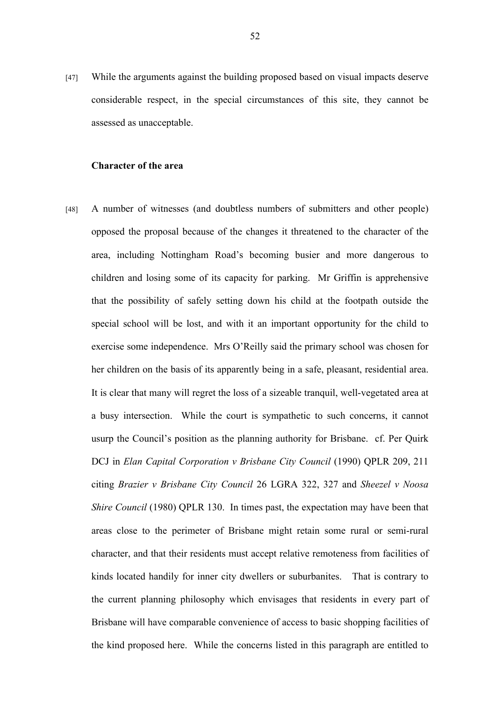[47] While the arguments against the building proposed based on visual impacts deserve considerable respect, in the special circumstances of this site, they cannot be assessed as unacceptable.

#### **Character of the area**

[48] A number of witnesses (and doubtless numbers of submitters and other people) opposed the proposal because of the changes it threatened to the character of the area, including Nottingham Road's becoming busier and more dangerous to children and losing some of its capacity for parking. Mr Griffin is apprehensive that the possibility of safely setting down his child at the footpath outside the special school will be lost, and with it an important opportunity for the child to exercise some independence. Mrs O'Reilly said the primary school was chosen for her children on the basis of its apparently being in a safe, pleasant, residential area. It is clear that many will regret the loss of a sizeable tranquil, well-vegetated area at a busy intersection. While the court is sympathetic to such concerns, it cannot usurp the Council's position as the planning authority for Brisbane. cf. Per Quirk DCJ in *Elan Capital Corporation v Brisbane City Council* (1990) QPLR 209, 211 citing *Brazier v Brisbane City Council* 26 LGRA 322, 327 and *Sheezel v Noosa Shire Council* (1980) QPLR 130. In times past, the expectation may have been that areas close to the perimeter of Brisbane might retain some rural or semi-rural character, and that their residents must accept relative remoteness from facilities of kinds located handily for inner city dwellers or suburbanites. That is contrary to the current planning philosophy which envisages that residents in every part of Brisbane will have comparable convenience of access to basic shopping facilities of the kind proposed here. While the concerns listed in this paragraph are entitled to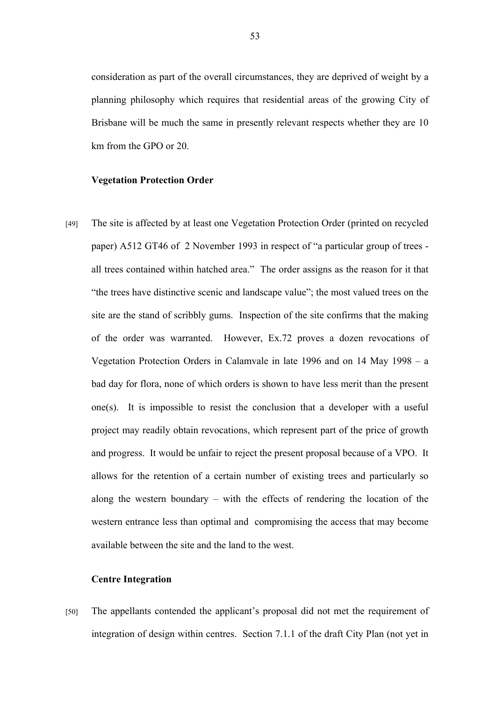consideration as part of the overall circumstances, they are deprived of weight by a planning philosophy which requires that residential areas of the growing City of Brisbane will be much the same in presently relevant respects whether they are 10 km from the GPO or 20.

#### **Vegetation Protection Order**

[49] The site is affected by at least one Vegetation Protection Order (printed on recycled paper) A512 GT46 of 2 November 1993 in respect of "a particular group of trees all trees contained within hatched area." The order assigns as the reason for it that "the trees have distinctive scenic and landscape value"; the most valued trees on the site are the stand of scribbly gums. Inspection of the site confirms that the making of the order was warranted. However, Ex.72 proves a dozen revocations of Vegetation Protection Orders in Calamvale in late 1996 and on 14 May 1998 – a bad day for flora, none of which orders is shown to have less merit than the present one(s). It is impossible to resist the conclusion that a developer with a useful project may readily obtain revocations, which represent part of the price of growth and progress. It would be unfair to reject the present proposal because of a VPO. It allows for the retention of a certain number of existing trees and particularly so along the western boundary – with the effects of rendering the location of the western entrance less than optimal and compromising the access that may become available between the site and the land to the west.

# **Centre Integration**

[50] The appellants contended the applicant's proposal did not met the requirement of integration of design within centres. Section 7.1.1 of the draft City Plan (not yet in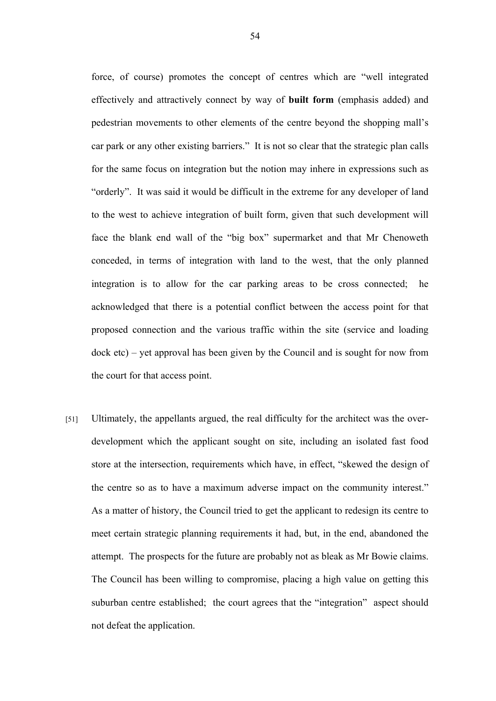force, of course) promotes the concept of centres which are "well integrated effectively and attractively connect by way of **built form** (emphasis added) and pedestrian movements to other elements of the centre beyond the shopping mall's car park or any other existing barriers." It is not so clear that the strategic plan calls for the same focus on integration but the notion may inhere in expressions such as "orderly". It was said it would be difficult in the extreme for any developer of land to the west to achieve integration of built form, given that such development will face the blank end wall of the "big box" supermarket and that Mr Chenoweth conceded, in terms of integration with land to the west, that the only planned integration is to allow for the car parking areas to be cross connected; he acknowledged that there is a potential conflict between the access point for that proposed connection and the various traffic within the site (service and loading dock etc) – yet approval has been given by the Council and is sought for now from the court for that access point.

[51] Ultimately, the appellants argued, the real difficulty for the architect was the overdevelopment which the applicant sought on site, including an isolated fast food store at the intersection, requirements which have, in effect, "skewed the design of the centre so as to have a maximum adverse impact on the community interest." As a matter of history, the Council tried to get the applicant to redesign its centre to meet certain strategic planning requirements it had, but, in the end, abandoned the attempt. The prospects for the future are probably not as bleak as Mr Bowie claims. The Council has been willing to compromise, placing a high value on getting this suburban centre established; the court agrees that the "integration" aspect should not defeat the application.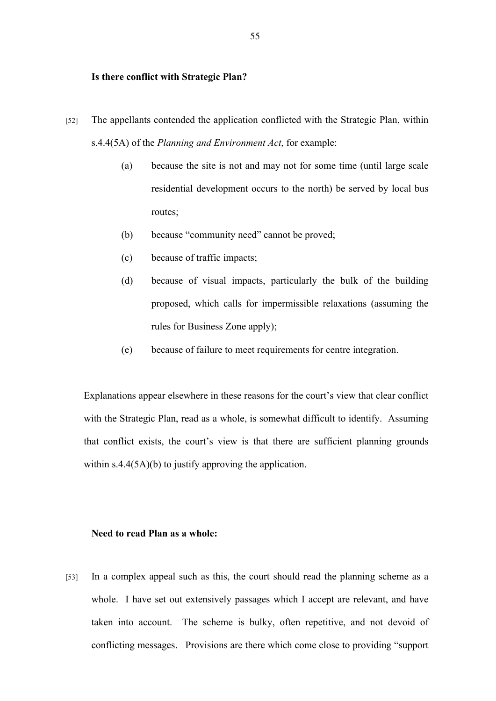# **Is there conflict with Strategic Plan?**

- [52] The appellants contended the application conflicted with the Strategic Plan, within s.4.4(5A) of the *Planning and Environment Act*, for example:
	- (a) because the site is not and may not for some time (until large scale residential development occurs to the north) be served by local bus routes;
	- (b) because "community need" cannot be proved;
	- (c) because of traffic impacts;
	- (d) because of visual impacts, particularly the bulk of the building proposed, which calls for impermissible relaxations (assuming the rules for Business Zone apply);
	- (e) because of failure to meet requirements for centre integration.

Explanations appear elsewhere in these reasons for the court's view that clear conflict with the Strategic Plan, read as a whole, is somewhat difficult to identify. Assuming that conflict exists, the court's view is that there are sufficient planning grounds within s.4.4(5A)(b) to justify approving the application.

# **Need to read Plan as a whole:**

[53] In a complex appeal such as this, the court should read the planning scheme as a whole. I have set out extensively passages which I accept are relevant, and have taken into account. The scheme is bulky, often repetitive, and not devoid of conflicting messages. Provisions are there which come close to providing "support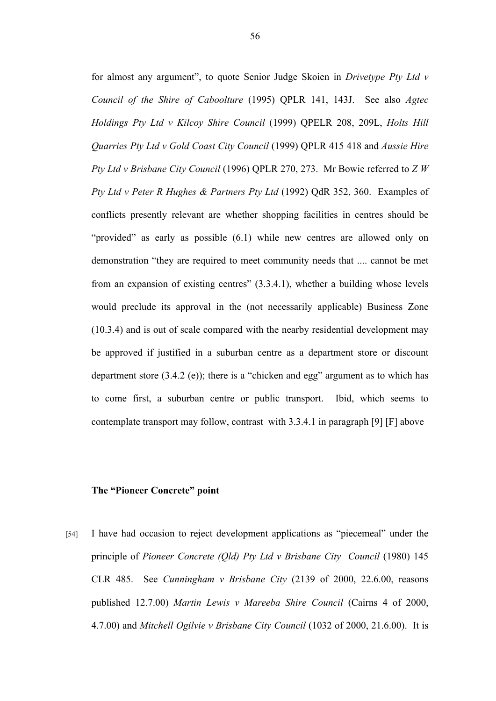for almost any argument", to quote Senior Judge Skoien in *Drivetype Pty Ltd v Council of the Shire of Caboolture* (1995) QPLR 141, 143J. See also *Agtec Holdings Pty Ltd v Kilcoy Shire Council* (1999) QPELR 208, 209L, *Holts Hill Quarries Pty Ltd v Gold Coast City Council* (1999) QPLR 415 418 and *Aussie Hire Pty Ltd v Brisbane City Council* (1996) QPLR 270, 273. Mr Bowie referred to *Z W Pty Ltd v Peter R Hughes & Partners Pty Ltd* (1992) QdR 352, 360. Examples of conflicts presently relevant are whether shopping facilities in centres should be "provided" as early as possible (6.1) while new centres are allowed only on demonstration "they are required to meet community needs that .... cannot be met from an expansion of existing centres" (3.3.4.1), whether a building whose levels would preclude its approval in the (not necessarily applicable) Business Zone (10.3.4) and is out of scale compared with the nearby residential development may be approved if justified in a suburban centre as a department store or discount department store (3.4.2 (e)); there is a "chicken and egg" argument as to which has to come first, a suburban centre or public transport. Ibid, which seems to contemplate transport may follow, contrast with 3.3.4.1 in paragraph [9] [F] above

# **The "Pioneer Concrete" point**

[54] I have had occasion to reject development applications as "piecemeal" under the principle of *Pioneer Concrete (Qld) Pty Ltd v Brisbane City Council* (1980) 145 CLR 485. See *Cunningham v Brisbane City* (2139 of 2000, 22.6.00, reasons published 12.7.00) *Martin Lewis v Mareeba Shire Council* (Cairns 4 of 2000, 4.7.00) and *Mitchell Ogilvie v Brisbane City Council* (1032 of 2000, 21.6.00). It is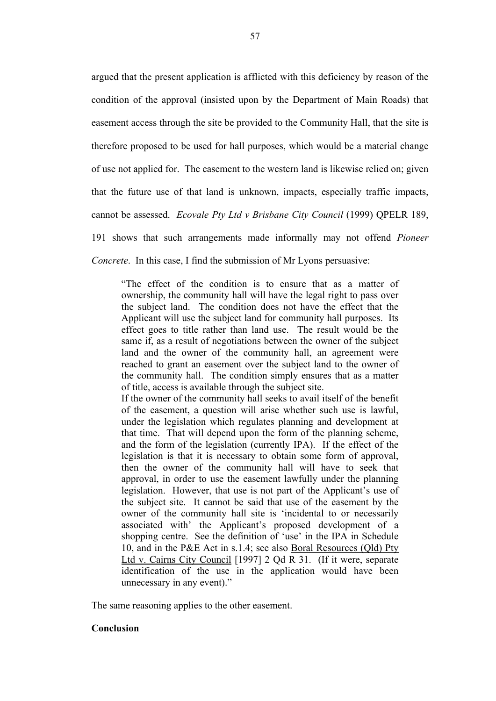argued that the present application is afflicted with this deficiency by reason of the condition of the approval (insisted upon by the Department of Main Roads) that easement access through the site be provided to the Community Hall, that the site is therefore proposed to be used for hall purposes, which would be a material change of use not applied for. The easement to the western land is likewise relied on; given that the future use of that land is unknown, impacts, especially traffic impacts, cannot be assessed. *Ecovale Pty Ltd v Brisbane City Council* (1999) QPELR 189, 191 shows that such arrangements made informally may not offend *Pioneer Concrete*. In this case, I find the submission of Mr Lyons persuasive:

"The effect of the condition is to ensure that as a matter of ownership, the community hall will have the legal right to pass over the subject land. The condition does not have the effect that the Applicant will use the subject land for community hall purposes. Its effect goes to title rather than land use. The result would be the same if, as a result of negotiations between the owner of the subject land and the owner of the community hall, an agreement were reached to grant an easement over the subject land to the owner of the community hall. The condition simply ensures that as a matter of title, access is available through the subject site.

If the owner of the community hall seeks to avail itself of the benefit of the easement, a question will arise whether such use is lawful, under the legislation which regulates planning and development at that time. That will depend upon the form of the planning scheme, and the form of the legislation (currently IPA). If the effect of the legislation is that it is necessary to obtain some form of approval, then the owner of the community hall will have to seek that approval, in order to use the easement lawfully under the planning legislation. However, that use is not part of the Applicant's use of the subject site. It cannot be said that use of the easement by the owner of the community hall site is 'incidental to or necessarily associated with' the Applicant's proposed development of a shopping centre. See the definition of 'use' in the IPA in Schedule 10, and in the P&E Act in s.1.4; see also Boral Resources (Qld) Pty Ltd v. Cairns City Council [1997] 2 Qd R 31. (If it were, separate identification of the use in the application would have been unnecessary in any event)."

The same reasoning applies to the other easement.

# **Conclusion**